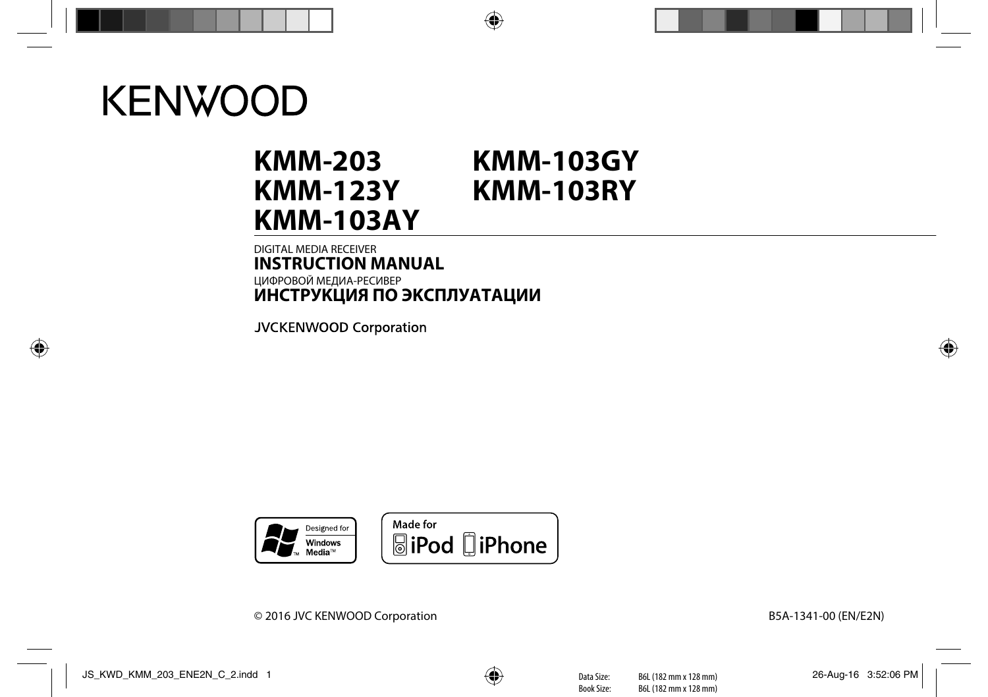# **KENWOOD**

# **KMM-203 KMM-123Y KMM-103AY KMM-103GY KMM-103RY**

# DIGITAL MEDIA RECEIVER **INSTRUCTION MANUAL** ЦИФРОВОЙ МЕДИА-РЕСИВЕР **ИHCTPУKЦИЯ ПO ЭKCПЛУATAЦИИ**

**JVCKENWOOD Corporation** 



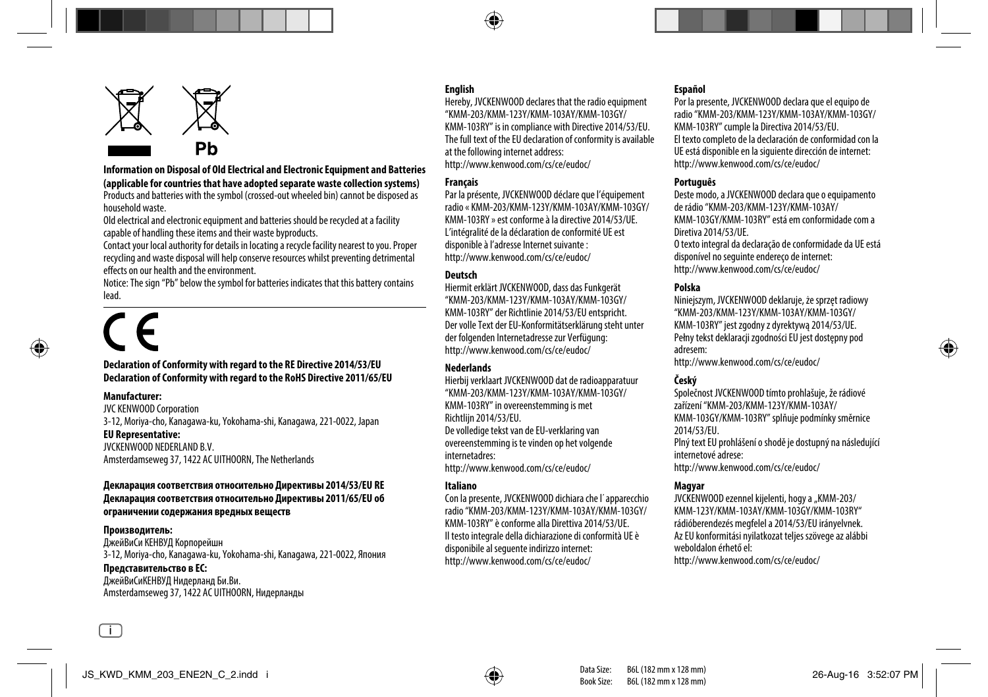

**Information on Disposal of Old Electrical and Electronic Equipment and Batteries (applicable for countries that have adopted separate waste collection systems)** Products and batteries with the symbol (crossed-out wheeled bin) cannot be disposed as household waste.

Old electrical and electronic equipment and batteries should be recycled at a facility capable of handling these items and their waste byproducts.

Contact your local authority for details in locating a recycle facility nearest to you. Proper recycling and waste disposal will help conserve resources whilst preventing detrimental effects on our health and the environment.

Notice: The sign "Pb" below the symbol for batteries indicates that this battery contains lead.

#### **Declaration of Conformity with regard to the RE Directive 2014/53/EU Declaration of Conformity with regard to the RoHS Directive 2011/65/EU**

#### **Manufacturer:**

JVC KENWOOD Corporation 3-12, Moriya-cho, Kanagawa-ku, Yokohama-shi, Kanagawa, 221-0022, Japan **EU Representative:** JVCKENWOOD NEDERLAND B.V.

Amsterdamseweg 37, 1422 AC UITHOORN, The Netherlands

#### **Декларация соответствия относительно Директивы 2014/53/EU RE Декларация соответствия относительно Директивы 2011/65/EU об ограничении содержания вредных веществ**

## **Производитель:**

i

ДжейВиСи КЕНВУД Корпорейшн 3-12, Moriya-cho, Kanagawa-ku, Yokohama-shi, Kanagawa, 221-0022, Япония **Представительство в EC:**

# ДжейВиСиКЕНВУД Нидерланд Би.Ви.

Amsterdamseweg 37, 1422 AC UITHOORN, Нидерланды

### **English**

Hereby, JVCKENWOOD declares that the radio equipment "KMM-203/KMM-123Y/KMM-103AY/KMM-103GY/ KMM-103RY" is in compliance with Directive 2014/53/EU. The full text of the EU declaration of conformity is available at the following internet address: http://www.kenwood.com/cs/ce/eudoc/

#### **Français**

Par la présente, JVCKENWOOD déclare que l'équipement radio « KMM-203/KMM-123Y/KMM-103AY/KMM-103GY/ KMM-103RY » est conforme à la directive 2014/53/UE. L'intégralité de la déclaration de conformité UE est disponible à l'adresse Internet suivante : http://www.kenwood.com/cs/ce/eudoc/

#### **Deutsch**

Hiermit erklärt JVCKENWOOD, dass das Funkgerät "KMM-203/KMM-123Y/KMM-103AY/KMM-103GY/ KMM-103RY" der Richtlinie 2014/53/EU entspricht. Der volle Text der EU-Konformitätserklärung steht unter der folgenden Internetadresse zur Verfügung: http://www.kenwood.com/cs/ce/eudoc/

#### **Nederlands**

Hierbij verklaart JVCKENWOOD dat de radioapparatuur "KMM-203/KMM-123Y/KMM-103AY/KMM-103GY/ KMM-103RY" in overeenstemming is met Richtlijn 2014/53/EU.

De volledige tekst van de EU-verklaring van overeenstemming is te vinden op het volgende internetadres:

http://www.kenwood.com/cs/ce/eudoc/

#### **Italiano**

Con la presente, JVCKENWOOD dichiara che l΄apparecchio radio "KMM-203/KMM-123Y/KMM-103AY/KMM-103GY/ KMM-103RY" è conforme alla Direttiva 2014/53/UE. Il testo integrale della dichiarazione di conformità UE è disponibile al seguente indirizzo internet: http://www.kenwood.com/cs/ce/eudoc/

#### **Español**

Por la presente, JVCKENWOOD declara que el equipo de radio "KMM-203/KMM-123Y/KMM-103AY/KMM-103GY/ KMM-103RY" cumple la Directiva 2014/53/EU. El texto completo de la declaración de conformidad con la UE está disponible en la siguiente dirección de internet: http://www.kenwood.com/cs/ce/eudoc/

#### **Português**

Deste modo, a JVCKENWOOD declara que o equipamento de rádio "KMM-203/KMM-123Y/KMM-103AY/ KMM-103GY/KMM-103RY" está em conformidade com a Diretiva 2014/53/UE. O texto integral da declaração de conformidade da UE está disponível no seguinte endereço de internet: http://www.kenwood.com/cs/ce/eudoc/

#### **Polska**

Niniejszym, JVCKENWOOD deklaruje, że sprzęt radiowy "KMM-203/KMM-123Y/KMM-103AY/KMM-103GY/ KMM-103RY" jest zgodny z dyrektywą 2014/53/UE. Pełny tekst deklaracji zgodności EU jest dostępny pod adresem:

http://www.kenwood.com/cs/ce/eudoc/

## **Český**

Společnost JVCKENWOOD tímto prohlašuje, že rádiové zařízení "KMM-203/KMM-123Y/KMM-103AY/ KMM-103GY/KMM-103RY" splňuje podmínky směrnice 2014/53/EU.

Plný text EU prohlášení o shodě je dostupný na následující internetové adrese:

http://www.kenwood.com/cs/ce/eudoc/

#### **Magyar**

JVCKENWOOD ezennel kijelenti, hogy a "KMM-203/ KMM-123Y/KMM-103AY/KMM-103GY/KMM-103RY" rádióberendezés megfelel a 2014/53/EU irányelvnek. Az EU konformitási nyilatkozat teljes szövege az alábbi weboldalon érhető el:

http://www.kenwood.com/cs/ce/eudoc/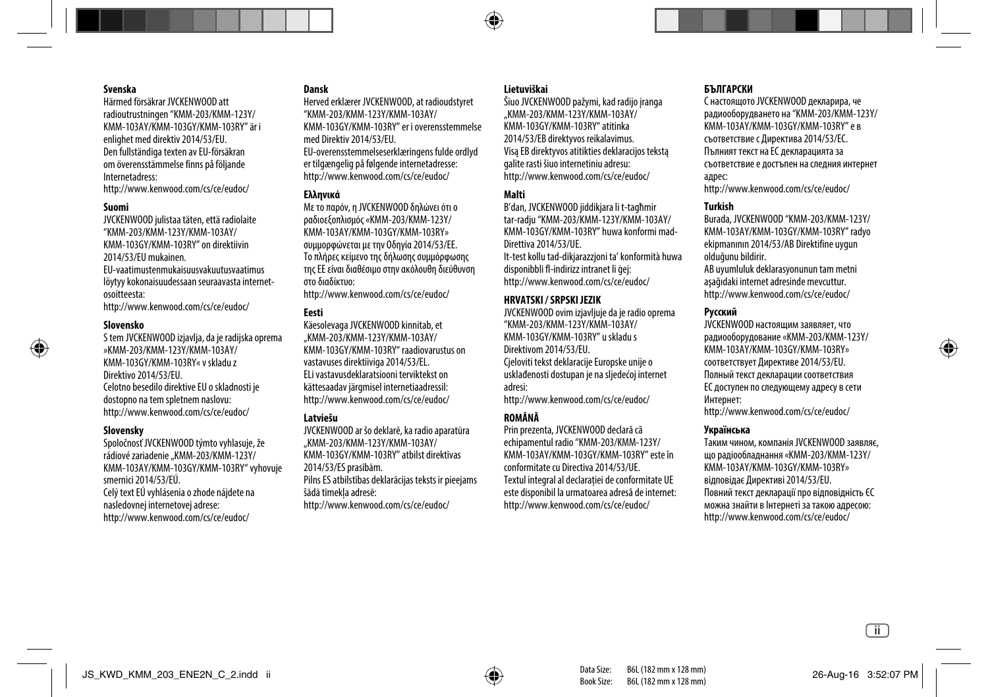#### **Svenska**

Härmed försäkrar JVCKENWOOD att radioutrustningen "KMM-203/KMM-123Y/ KMM-103AY/KMM-103GY/KMM-103RY" är i enlighet med direktiv 2014/53/EU. Den fullständiga texten av EU-försäkran om överensstämmelse finns på följande Internetadress:

http://www.kenwood.com/cs/ce/eudoc/

#### **Suomi**

JVCKENWOOD julistaa täten, että radiolaite "KMM-203/KMM-123Y/KMM-103AY/ KMM-103GY/KMM-103RY" on direktiivin 2014/53/EU mukainen. EU-vaatimustenmukaisuusvakuutusvaatimus

löytyy kokonaisuudessaan seuraavasta internetosoitteesta:

http://www.kenwood.com/cs/ce/eudoc/

#### **Slovensko**

S tem JVCKENWOOD izjavlja, da je radijska oprema »KMM-203/KMM-123Y/KMM-103AY/ KMM-103GY/KMM-103RY« v skladu z Direktivo 2014/53/EU. Celotno besedilo direktive EU o skladnosti je dostopno na tem spletnem naslovu: http://www.kenwood.com/cs/ce/eudoc/

#### **Slovensky**

Spoločnosť JVCKENWOOD týmto vyhlasuje, že rádiové zariadenie "KMM-203/KMM-123Y/ KMM-103AY/KMM-103GY/KMM-103RY" vyhovuje smernici 2014/53/EÚ. Celý text EÚ vyhlásenia o zhode nájdete na

nasledovnej internetovej adrese: http://www.kenwood.com/cs/ce/eudoc/

#### **Dansk**

Herved erklærer JVCKENWOOD, at radioudstyret "KMM-203/KMM-123Y/KMM-103AY/ KMM-103GY/KMM-103RY" er i overensstemmelse med Direktiv 2014/53/EU. EU-overensstemmelseserklæringens fulde ordlyd er tilgængelig på følgende internetadresse: http://www.kenwood.com/cs/ce/eudoc/

#### **Ελληνικά**

Με το παρόν, η JVCKENWOOD δηλώνει ότι ο ραδιοεξοπλισμός «KMM-203/KMM-123Y/ KMM-103AY/KMM-103GY/KMM-103RY» συμμορφώνεται με την Οδηγία 2014/53/ΕΕ. Το πλήρες κείμενο της δήλωσης συμμόρφωσης της ΕΕ είναι διαθέσιμο στην ακόλουθη διεύθυνση στο διαδίκτυο:

http://www.kenwood.com/cs/ce/eudoc/

### **Eesti**

Käesolevaga JVCKENWOOD kinnitab, et "KMM-203/KMM-123Y/KMM-103AY/ KMM-103GY/KMM-103RY" raadiovarustus on vastavuses direktiiviga 2014/53/EL. ELi vastavusdeklaratsiooni terviktekst on kättesaadav järgmisel internetiaadressil: http://www.kenwood.com/cs/ce/eudoc/

#### **Latviešu**

JVCKENWOOD ar šo deklarē, ka radio aparatūra "KMM-203/KMM-123Y/KMM-103AY/ KMM-103GY/KMM-103RY" atbilst direktīvas 2014/53/ES prasībām. Pilns ES atbilstības deklarācijas teksts ir pieejams šādā tīmekļa adresē: http://www.kenwood.com/cs/ce/eudoc/

## **Lietuviškai**

Šiuo JVCKENWOOD pažymi, kad radijo įranga "KMM-203/KMM-123Y/KMM-103AY/ KMM-103GY/KMM-103RY" atitinka 2014/53/EB direktyvos reikalavimus. Visą EB direktyvos atitikties deklaracijos tekstą galite rasti šiuo internetiniu adresu: http://www.kenwood.com/cs/ce/eudoc/

#### **Malti**

B'dan, JVCKENWOOD jiddikjara li t-tagħmir tar-radju "KMM-203/KMM-123Y/KMM-103AY/ KMM-103GY/KMM-103RY" huwa konformi mad-Direttiva 2014/53/UE.

It-test kollu tad-dikjarazzjoni ta' konformità huwa disponibbli fl-indirizz intranet li ġej: http://www.kenwood.com/cs/ce/eudoc/

#### **HRVATSKI / SRPSKI JEZIK**

JVCKENWOOD ovim izjavljuje da je radio oprema "KMM-203/KMM-123Y/KMM-103AY/ KMM-103GY/KMM-103RY" u skladu s Direktivom 2014/53/EU.

Cjeloviti tekst deklaracije Europske unije o usklađenosti dostupan je na sljedećoj internet adresi:

http://www.kenwood.com/cs/ce/eudoc/

#### **ROMÂNĂ**

Prin prezenta, JVCKENWOOD declară că echipamentul radio "KMM-203/KMM-123Y/ KMM-103AY/KMM-103GY/KMM-103RY" este în conformitate cu Directiva 2014/53/UE. Textul integral al declarației de conformitate UE este disponibil la urmatoarea adresă de internet: http://www.kenwood.com/cs/ce/eudoc/

#### **БЪЛГАРСКИ**

С настоящото JVCKENWOOD декларира, че радиооборудването на "KMM-203/KMM-123Y/ KMM-103AY/KMM-103GY/KMM-103RY" е в съответствие с Директива 2014/53/ЕС. Пълният текст на ЕС декларацията за съответствие е достъпен на следния интернет адрес:

http://www.kenwood.com/cs/ce/eudoc/

#### **Turkish**

Burada, JVCKENWOOD "KMM-203/KMM-123Y/ KMM-103AY/KMM-103GY/KMM-103RY" radyo ekipmanının 2014/53/AB Direktifine uygun olduğunu bildirir. AB uyumluluk deklarasyonunun tam metni

aşağıdaki internet adresinde mevcuttur. http://www.kenwood.com/cs/ce/eudoc/

#### **Русский**

JVCKENWOOD настоящим заявляет, что радиооборудование «KMM-203/KMM-123Y/ KMM-103AY/KMM-103GY/KMM-103RY» соответствует Директиве 2014/53/EU. Полный текст декларации соответствия ЕС доступен по следующему адресу в сети Интернет: http://www.kenwood.com/cs/ce/eudoc/

#### **Українська**

Таким чином, компанія JVCKENWOOD заявляє, що радіообладнання «KMM-203/KMM-123Y/ KMM-103AY/KMM-103GY/KMM-103RY» відповідає Директиві 2014/53/EU. Повний текст декларації про відповідність ЄС можна знайти в Інтернеті за такою адресою: http://www.kenwood.com/cs/ce/eudoc/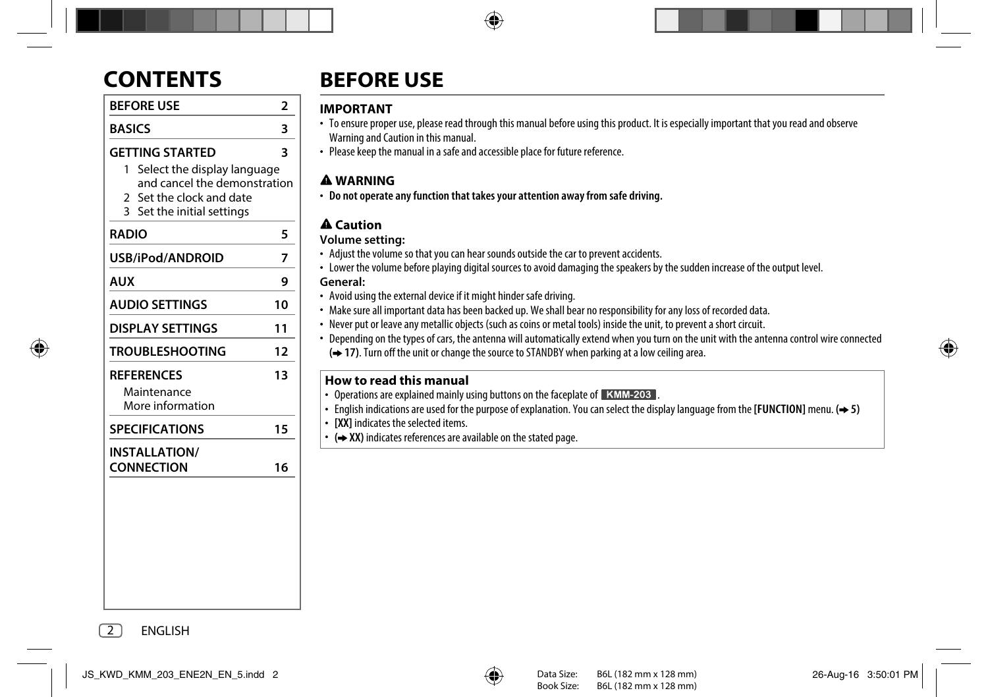| <b>BEFORE USE</b> |  |
|-------------------|--|
| <b>BASICS</b>     |  |
|                   |  |

## **GETTING STARTED 3**

- 1 Select the display language and cancel the demonstration
- 2 Set the clock and date
- 3 Set the initial settings

| <b>RADIO</b>                                         | 5  |
|------------------------------------------------------|----|
| USB/iPod/ANDROID                                     | 7  |
| AUX                                                  | 9  |
| <b>AUDIO SETTINGS</b>                                | 10 |
| DISPLAY SETTINGS                                     | 11 |
| <b>TROUBLESHOOTING</b>                               | 12 |
| <b>REFERENCES</b><br>Maintenance<br>More information | 13 |
| <b>SPECIFICATIONS</b>                                | 15 |
| <b>INSTALLATION/</b><br><b>CONNECTION</b>            | 16 |

# **CONTENTS BEFORE USE**

# **IMPORTANT**

- To ensure proper use, please read through this manual before using this product. It is especially important that you read and observe Warning and Caution in this manual.
- Please keep the manual in a safe and accessible place for future reference.

# **WARNING**

• **Do not operate any function that takes your attention away from safe driving.**

# **Caution**

# **Volume setting:**

- Adjust the volume so that you can hear sounds outside the car to prevent accidents.
- Lower the volume before playing digital sources to avoid damaging the speakers by the sudden increase of the output level. **General:**
- Avoid using the external device if it might hinder safe driving.
- Make sure all important data has been backed up. We shall bear no responsibility for any loss of recorded data.
- Never put or leave any metallic objects (such as coins or metal tools) inside the unit, to prevent a short circuit.
- Depending on the types of cars, the antenna will automatically extend when you turn on the unit with the antenna control wire connected
	- **( 17)**. Turn off the unit or change the source to STANDBY when parking at a low ceiling area.

# **How to read this manual**

- Operations are explained mainly using buttons on the faceplate of **KMM-203**.
- English indications are used for the purpose of explanation. You can select the display language from the **[FUNCTION]** menu. **( 5)**
- **[XX]** indicates the selected items.
- $\rightarrow$  XX) indicates references are available on the stated page.

2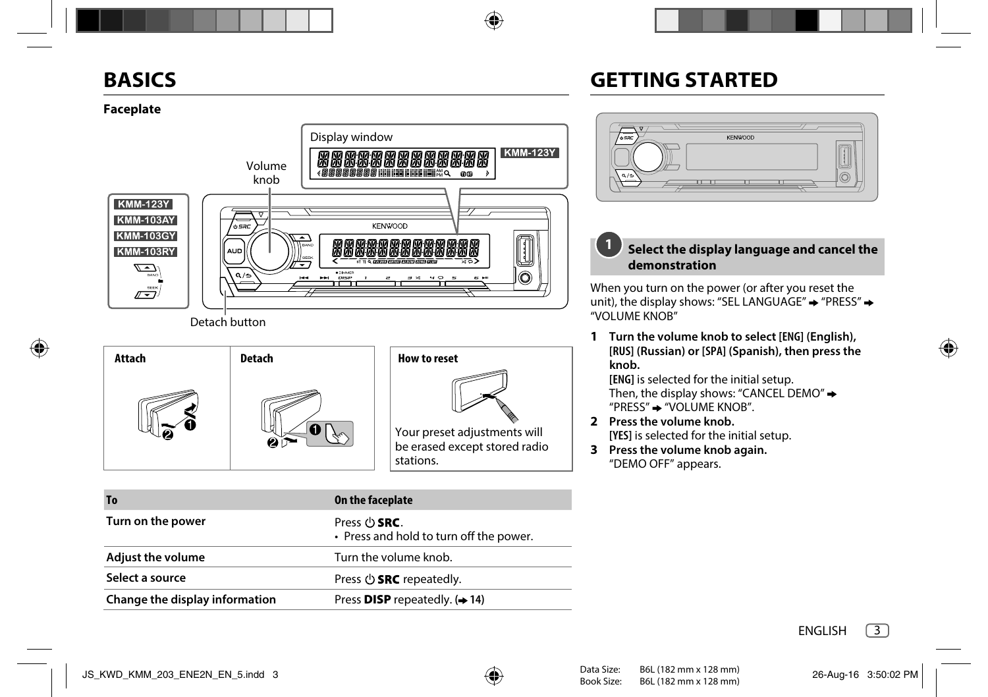# **BASICS**

# **GETTING STARTED**

# **Faceplate**



Detach button



| <b>To</b>                      | On the faceplate                                                     |
|--------------------------------|----------------------------------------------------------------------|
| Turn on the power              | Press $\cup$ <b>SRC</b> .<br>• Press and hold to turn off the power. |
| <b>Adjust the volume</b>       | Turn the volume knob.                                                |
| Select a source                | Press $\bigcirc$ <b>SRC</b> repeatedly.                              |
| Change the display information | Press <b>DISP</b> repeatedly. $(\rightarrow 14)$                     |



#### **Select the display language and cancel the demonstration 1**

When you turn on the power (or after you reset the unit), the display shows: "SEL LANGUAGE"  $\rightarrow$  "PRESS"  $\rightarrow$ "VOLUME KNOB"

**1 Turn the volume knob to select [ENG] (English), [RUS] (Russian) or [SPA] (Spanish), then press the knob.**

**[ENG]** is selected for the initial setup. Then, the display shows: "CANCEL DEMO" $\rightarrow$ "PRESS"  $\rightarrow$  "VOLUME KNOB".

- **2 Press the volume knob. [YES]** is selected for the initial setup.
- **3 Press the volume knob again.** "DEMO OFF" appears.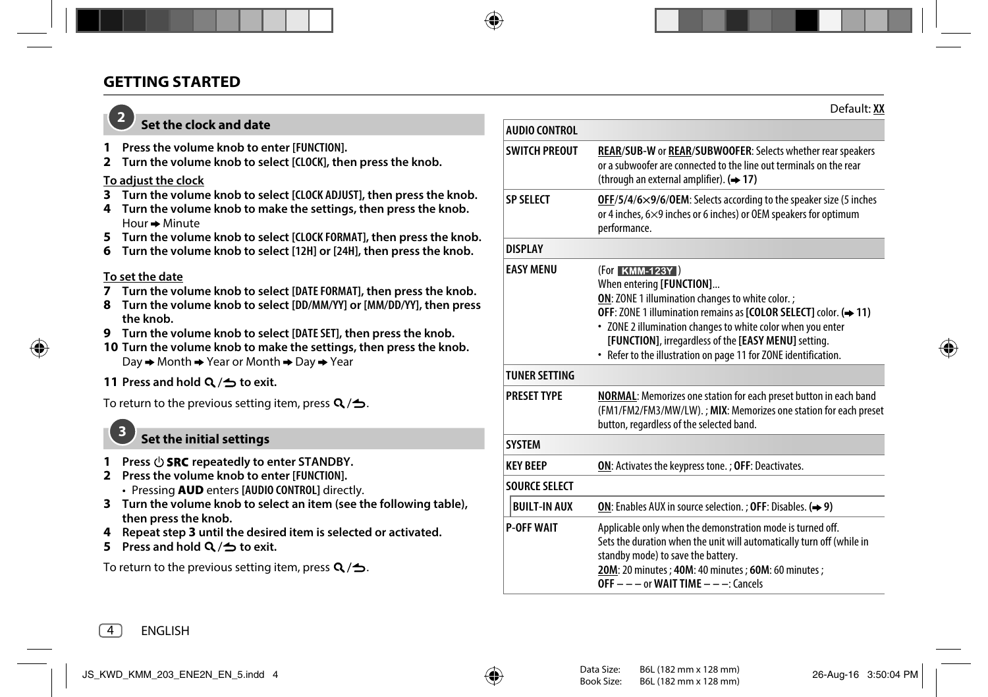# **GETTING STARTED**

# **2**

# **Set the clock and date**

- **1 Press the volume knob to enter [FUNCTION].**
- **2 Turn the volume knob to select [CLOCK], then press the knob.**

# **To adjust the clock**

- **3 Turn the volume knob to select [CLOCK ADJUST], then press the knob.**
- **4 Turn the volume knob to make the settings, then press the knob.**  $H$ our  $\rightarrow$  Minute
- **5 Turn the volume knob to select [CLOCK FORMAT], then press the knob.**
- **6 Turn the volume knob to select [12H] or [24H], then press the knob.**

# **To set the date**

- **7 Turn the volume knob to select [DATE FORMAT], then press the knob.**
- **8 Turn the volume knob to select [DD/MM/YY] or [MM/DD/YY], then press the knob.**
- **9 Turn the volume knob to select [DATE SET], then press the knob.**
- **10 Turn the volume knob to make the settings, then press the knob.**  $Day \rightarrow Month \rightarrow Year$  or Month  $\rightarrow Dav \rightarrow Year$

# **11 Press and hold**  $Q / \Delta$  **to exit.**

To return to the previous setting item, press  $Q / \triangle$ .

# **Set the initial settings**

- **1** Press  $\bigcirc$  **SRC** repeatedly to enter STANDBY.
- **2 Press the volume knob to enter [FUNCTION].**
	- Pressing **AUD** enters **[AUDIO CONTROL]** directly.
- **3 Turn the volume knob to select an item (see the following table), then press the knob.**
- **4 Repeat step 3 until the desired item is selected or activated.**
- **5** Press and hold  $Q \rightarrow$  to exit.

To return to the previous setting item, press  $Q/\Delta$ .

| <b>AUDIO CONTROL</b> |                                                                                                                                                                                                                                                                                                                                                                      |  |
|----------------------|----------------------------------------------------------------------------------------------------------------------------------------------------------------------------------------------------------------------------------------------------------------------------------------------------------------------------------------------------------------------|--|
| <b>SWITCH PREOUT</b> | <b>REAR/SUB-W or REAR/SUBWOOFER: Selects whether rear speakers</b><br>or a subwoofer are connected to the line out terminals on the rear<br>(through an external amplifier). $(4.17)$                                                                                                                                                                                |  |
| <b>SP SELECT</b>     | $OFF/5/4/6\times9/6/0EM$ : Selects according to the speaker size (5 inches<br>or 4 inches, $6\times9$ inches or 6 inches) or OEM speakers for optimum<br>performance.                                                                                                                                                                                                |  |
| <b>DISPLAY</b>       |                                                                                                                                                                                                                                                                                                                                                                      |  |
| <b>EASY MENU</b>     | (For KMM-123Y)<br>When entering [FUNCTION]<br><b>ON: ZONE 1 illumination changes to white color. ;</b><br>OFF: ZONE 1 illumination remains as [COLOR SELECT] color. (→ 11)<br>• ZONE 2 illumination changes to white color when you enter<br>[FUNCTION], irregardless of the [EASY MENU] setting.<br>• Refer to the illustration on page 11 for ZONE identification. |  |
| <b>TUNER SETTING</b> |                                                                                                                                                                                                                                                                                                                                                                      |  |
| <b>PRESET TYPE</b>   | <b>NORMAL:</b> Memorizes one station for each preset button in each band<br>(FM1/FM2/FM3/MW/LW).; MIX: Memorizes one station for each preset<br>button, regardless of the selected band.                                                                                                                                                                             |  |
| <b>SYSTEM</b>        |                                                                                                                                                                                                                                                                                                                                                                      |  |
| <b>KEY BEEP</b>      | ON: Activates the keypress tone. ; OFF: Deactivates.                                                                                                                                                                                                                                                                                                                 |  |
| <b>SOURCE SELECT</b> |                                                                                                                                                                                                                                                                                                                                                                      |  |
| <b>BUILT-IN AUX</b>  | <b>ON:</b> Enables AUX in source selection. ; <b>OFF</b> : Disables. $(\rightarrow 9)$                                                                                                                                                                                                                                                                               |  |
| <b>P-OFF WAIT</b>    | Applicable only when the demonstration mode is turned off.<br>Sets the duration when the unit will automatically turn off (while in<br>standby mode) to save the battery.<br>20M: 20 minutes ; 40M: 40 minutes ; 60M: 60 minutes ;<br>OFF $-$ - $-$ or WAIT TIME $  -$ : Cancels                                                                                     |  |

Default: **XX**

4

**3**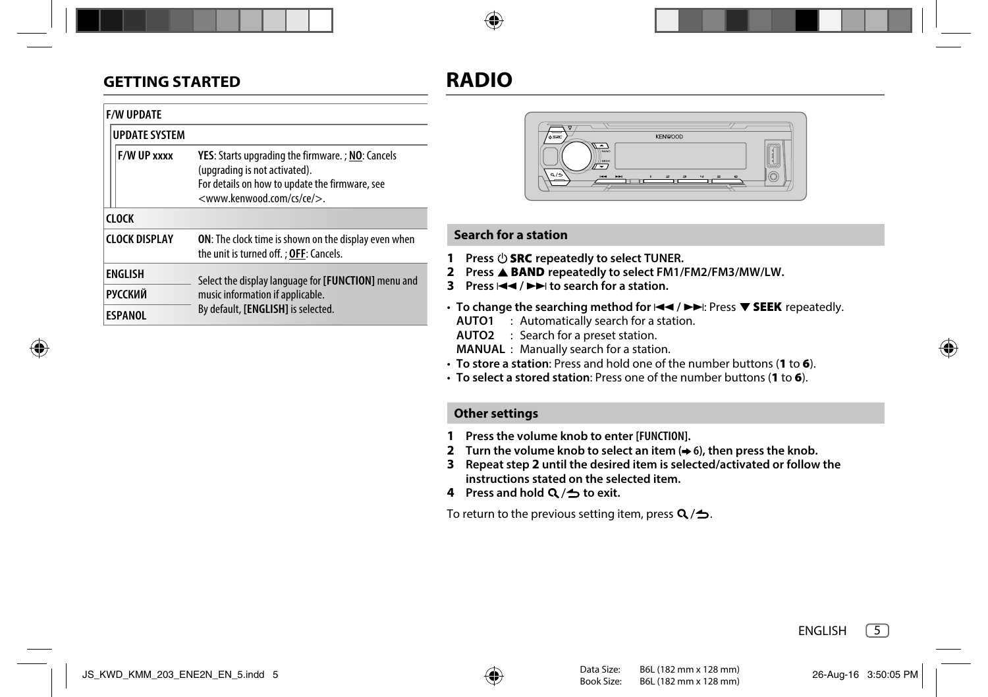# **GETTING STARTED**

# **RADIO**

| <b>F/W UPDATE</b>    |                                                                                                                                                                                          |
|----------------------|------------------------------------------------------------------------------------------------------------------------------------------------------------------------------------------|
| <b>UPDATE SYSTEM</b> |                                                                                                                                                                                          |
| F/W UP xxxx          | YES: Starts upgrading the firmware.; NO: Cancels<br>(upgrading is not activated).<br>For details on how to update the firmware, see<br><www.kenwood.com ce="" cs=""></www.kenwood.com> . |
| <b>CLOCK</b>         |                                                                                                                                                                                          |
| <b>CLOCK DISPLAY</b> | <b>ON:</b> The clock time is shown on the display even when<br>the unit is turned off. ; OFF: Cancels.                                                                                   |
| <b>ENGLISH</b>       | Select the display language for [FUNCTION] menu and                                                                                                                                      |
| <b>РУССКИЙ</b>       | music information if applicable.<br>By default, [ENGLISH] is selected.                                                                                                                   |
| <b>ESPANOL</b>       |                                                                                                                                                                                          |



# **Search for a station**

- **1** Press  $\bigcirc$  **SRC** repeatedly to select TUNER.
- **2** Press ▲ BAND repeatedly to select FM1/FM2/FM3/MW/LW.
- **3** Press  $\left| \blacktriangleleft \right|$   $\blacktriangleright \blacktriangleright$  to search for a station.
- To change the searching method for  $\leftarrow \leftarrow$  /  $\rightarrow$  Figures  $\bullet$  **SEEK** repeatedly.
	- **AUTO1** : Automatically search for a station.
	- **AUTO2** : Search for a preset station.
	- **MANUAL** : Manually search for a station.
- **To store a station**: Press and hold one of the number buttons (**1** to **6**).
- **To select a stored station**: Press one of the number buttons (**1** to **6**).

# **Other settings**

- **1 Press the volume knob to enter [FUNCTION].**
- **2 Turn the volume knob to select an item (→ 6)**, then press the knob.
- **3 Repeat step 2 until the desired item is selected/activated or follow the instructions stated on the selected item.**
- **4** Press and hold  $Q/\rightarrow$  to exit.

To return to the previous setting item, press  $Q/\Delta$ .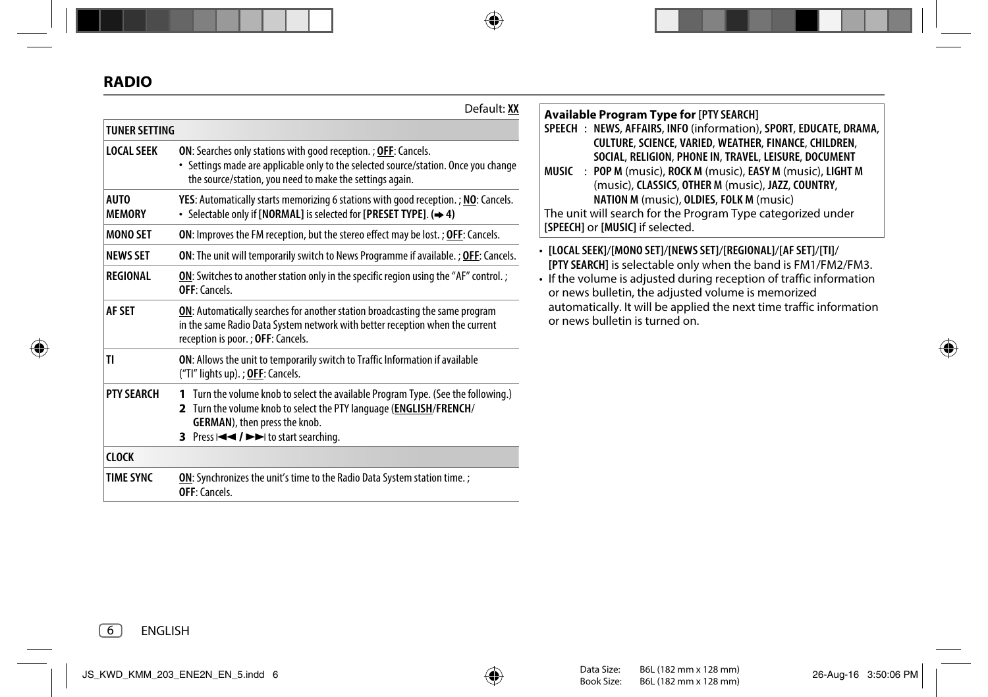|                              | Default: XX                                                                                                                                                                                                                       |
|------------------------------|-----------------------------------------------------------------------------------------------------------------------------------------------------------------------------------------------------------------------------------|
| <b>TUNFR SFTTING</b>         |                                                                                                                                                                                                                                   |
| <b>LOCAL SEEK</b>            | <b>ON:</b> Searches only stations with good reception. ; <b>OFF</b> : Cancels.<br>• Settings made are applicable only to the selected source/station. Once you change<br>the source/station, you need to make the settings again. |
| <b>AUTO</b><br><b>MEMORY</b> | YES: Automatically starts memorizing 6 stations with good reception. ; NO: Cancels.<br>• Selectable only if [NORMAL] is selected for [PRESET TYPE]. $(\rightarrow 4)$                                                             |
| <b>MONO SET</b>              | <b>ON:</b> Improves the FM reception, but the stereo effect may be lost.; <b>OFF</b> : Cancels.                                                                                                                                   |
| <b>NEWS SET</b>              | <b>ON:</b> The unit will temporarily switch to News Programme if available. ; OFF: Cancels.                                                                                                                                       |
| REGIONAL                     | ON: Switches to another station only in the specific region using the "AF" control.;<br>OFF: Cancels.                                                                                                                             |
| AF SFT                       | ON: Automatically searches for another station broadcasting the same program<br>in the same Radio Data System network with better reception when the current<br>reception is poor.; OFF: Cancels.                                 |
| TI                           | <b>ON:</b> Allows the unit to temporarily switch to Traffic Information if available<br>("Tl" lights up). ; OFF: Cancels.                                                                                                         |
| <b>PTY SFARCH</b>            | 1 Turn the volume knob to select the available Program Type. (See the following.)<br>2 Turn the volume knob to select the PTY language (ENGLISH/FRENCH/<br>GERMAN), then press the knob.<br>3 Press III / IDI to start searching. |
| <b>CLOCK</b>                 |                                                                                                                                                                                                                                   |
| <b>TIME SYNC</b>             | ON: Synchronizes the unit's time to the Radio Data System station time.;<br>OFF: Cancels.                                                                                                                                         |

# **Available Program Type for [PTY SEARCH]**

|       | SPEECH: NEWS, AFFAIRS, INFO (information), SPORT, EDUCATE, DRAMA, |
|-------|-------------------------------------------------------------------|
|       | CULTURE, SCIENCE, VARIED, WEATHER, FINANCE, CHILDREN,             |
|       | SOCIAL, RELIGION, PHONE IN, TRAVEL, LEISURE, DOCUMENT             |
| MUSIC | : POP M (music), ROCK M (music), EASY M (music), LIGHT M          |
|       | (music), CLASSICS, OTHER M (music), JAZZ, COUNTRY,                |

**NATION M** (music), **OLDIES**, **FOLK M** (music) The unit will search for the Program Type categorized under **[SPEECH]** or **[MUSIC]** if selected.

- **[LOCAL SEEK]**/**[MONO SET]**/**[NEWS SET]**/**[REGIONAL]**/**[AF SET]**/**[TI]**/ **[PTY SEARCH]** is selectable only when the band is FM1/FM2/FM3.
- If the volume is adjusted during reception of traffic information or news bulletin, the adjusted volume is memorized automatically. It will be applied the next time traffic information or news bulletin is turned on.

6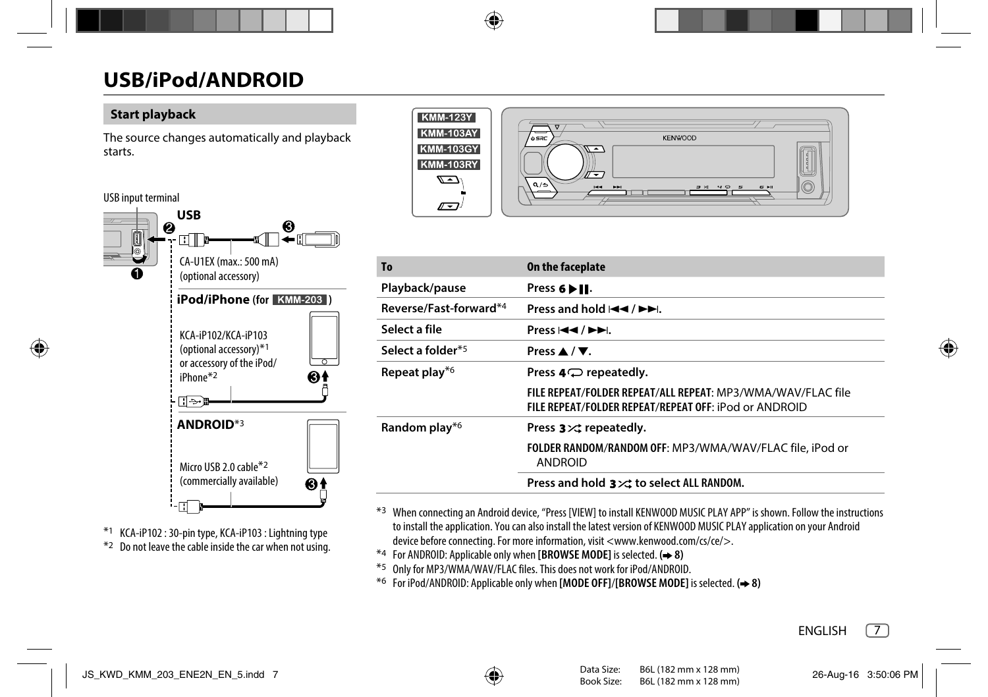# **Start playback**

The source changes automatically and playback starts.

## USB input terminal



\*1 KCA-iP102 : 30-pin type, KCA-iP103 : Lightning type \*2 Do not leave the cable inside the car when not using.



| To                     | On the faceplate                                                                                                     |
|------------------------|----------------------------------------------------------------------------------------------------------------------|
| Playback/pause         | Press 6 ▶ II.                                                                                                        |
| Reverse/Fast-forward*4 | Press and hold $\blacktriangleleft \blacktriangleleft$ / $\blacktriangleright \blacktriangleright$ .                 |
| Select a file          | Press $\left \leftarrow\right $ $\left \leftarrow\right $ .                                                          |
| Select a folder*5      | Press $\triangle$ / $\nabla$ .                                                                                       |
| Repeat play*6          | Press $4 \bigcirc$ repeatedly.                                                                                       |
|                        | FILE REPEAT/FOLDER REPEAT/ALL REPEAT: MP3/WMA/WAV/FLAC file<br>FILE REPEAT/FOLDER REPEAT/REPEAT OFF: iPod or ANDROID |
| Random play*6          | Press $3 \times$ repeatedly.                                                                                         |
|                        | FOLDER RANDOM/RANDOM OFF: MP3/WMA/WAV/FLAC file, iPod or<br><b>ANDROID</b>                                           |
|                        | Press and hold $3 \times 3$ to select ALL RANDOM.                                                                    |

\*3 When connecting an Android device, "Press [VIEW] to install KENWOOD MUSIC PLAY APP" is shown. Follow the instructions to install the application. You can also install the latest version of KENWOOD MUSIC PLAY application on your Android device before connecting. For more information, visit <www.kenwood.com/cs/ce/>.

- \*4 For ANDROID: Applicable only when **[BROWSE MODE]** is selected. **( 8)**
- \*5 Only for MP3/WMA/WAV/FLAC files. This does not work for iPod/ANDROID.
- \*6 For iPod/ANDROID: Applicable only when **[MODE OFF]**/**[BROWSE MODE]** is selected. **( 8)**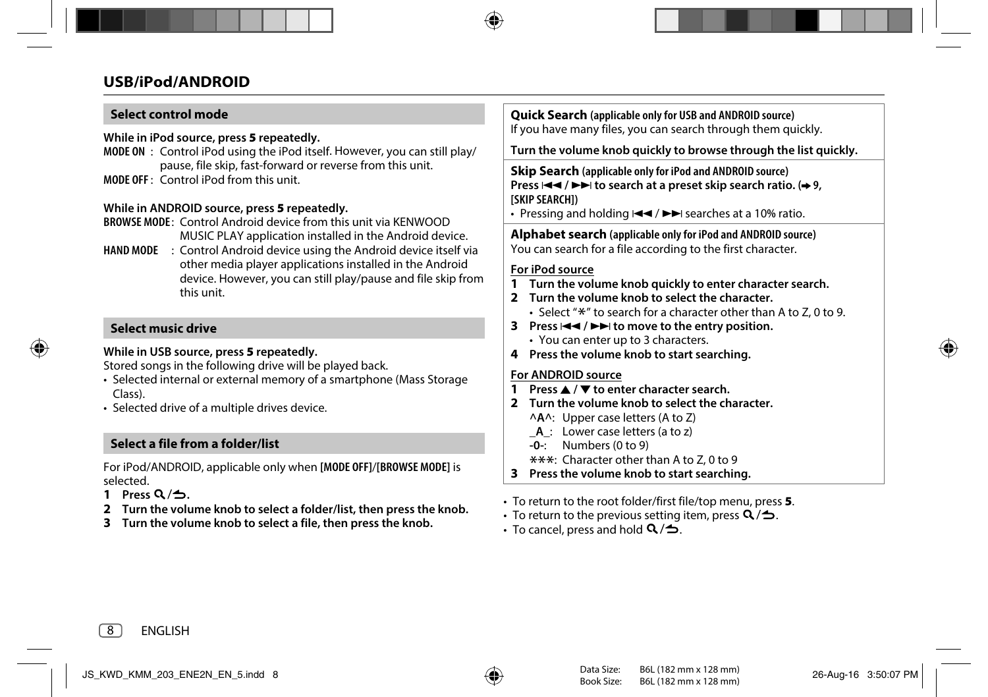# **Select control mode**

**While in iPod source, press 5 repeatedly.**

**MODE ON** : Control iPod using the iPod itself. However, you can still play/ pause, file skip, fast-forward or reverse from this unit. **MODE OFF** : Control iPod from this unit.

### **While in ANDROID source, press 5 repeatedly.**

**BROWSE MODE** : Control Android device from this unit via KENWOOD MUSIC PLAY application installed in the Android device.

**HAND MODE** : Control Android device using the Android device itself via other media player applications installed in the Android device. However, you can still play/pause and file skip from this unit.

# **Select music drive**

## **While in USB source, press 5 repeatedly.**

Stored songs in the following drive will be played back.

- Selected internal or external memory of a smartphone (Mass Storage Class).
- Selected drive of a multiple drives device.

# **Select a file from a folder/list**

For iPod/ANDROID, applicable only when **[MODE OFF]**/**[BROWSE MODE]** is selected.

- **1 Press**  $Q/\Delta$
- **2 Turn the volume knob to select a folder/list, then press the knob.**
- **3 Turn the volume knob to select a file, then press the knob.**

**Quick Search (applicable only for USB and ANDROID source)** If you have many files, you can search through them quickly.

**Turn the volume knob quickly to browse through the list quickly.**

**Skip Search (applicable only for iPod and ANDROID source) Press**  $\leftarrow$  **/**  $\rightarrow$  **1 to search at a preset skip search ratio.**  $\rightarrow$  **9, [SKIP SEARCH])**

• Pressing and holding  $\blacktriangleright \blacktriangleright$  searches at a 10% ratio.

**Alphabet search (applicable only for iPod and ANDROID source)** You can search for a file according to the first character.

## **For iPod source**

- **1 Turn the volume knob quickly to enter character search.**
- **2 Turn the volume knob to select the character.**
	- Select " $*$ " to search for a character other than A to Z, 0 to 9.
- **3** Press  $\leftarrow$  /  $\rightarrow$  to move to the entry position.
	- You can enter up to 3 characters.
- **4 Press the volume knob to start searching.**

## **For ANDROID source**

- **1 Press** J **/** K **to enter character search.**
- **2 Turn the volume knob to select the character.**
	- **^A^**: Upper case letters (A to Z)
	- **\_A\_**: Lower case letters (a to z)
	- **-0-**: Numbers (0 to 9)
	- \*\*\*: Character other than A to Z, 0 to 9
- **3 Press the volume knob to start searching.**
- To return to the root folder/first file/top menu, press **5**.
- To return to the previous setting item, press  $Q/\spadesuit$ .
- To cancel, press and hold  $\mathbf{Q}/\mathbf{D}$ .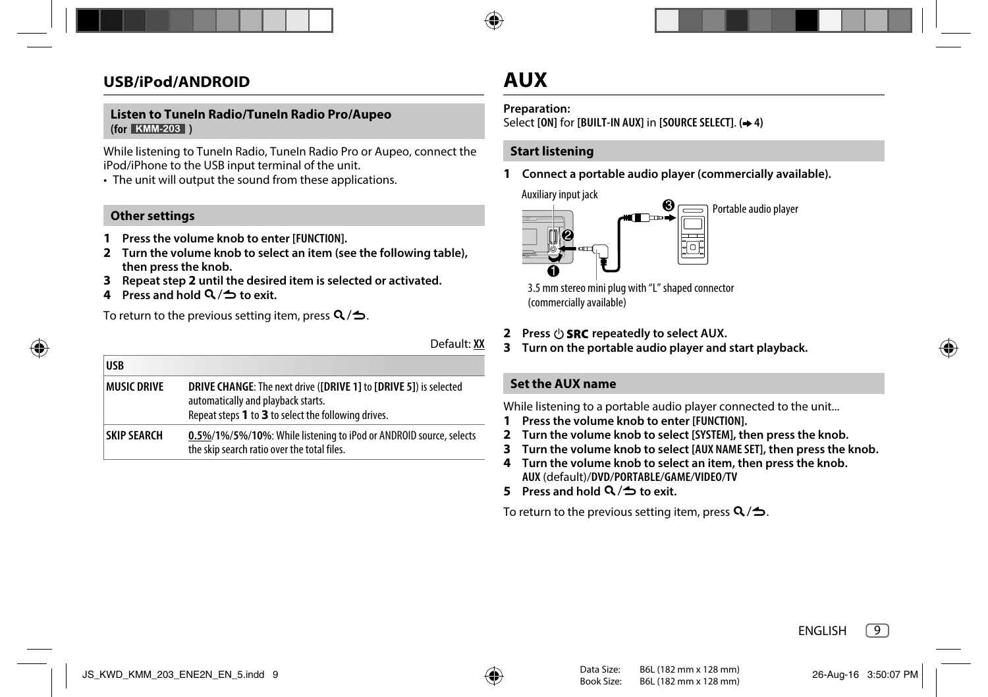## **Listen to TuneIn Radio/TuneIn Radio Pro/Aupeo (for )**

While listening to Tuneln Radio, Tuneln Radio Pro or Aupeo, connect the iPod/iPhone to the USB input terminal of the unit.

• The unit will output the sound from these applications.

# **Other settings**

**USB**

- **1 Press the volume knob to enter [FUNCTION].**
- **2 Turn the volume knob to select an item (see the following table), then press the knob.**
- **3 Repeat step 2 until the desired item is selected or activated.**
- **4** Press and hold  $Q/\rightarrow$  to exit.

To return to the previous setting item, press  $Q/\Delta$ .

Default: **XX**

| פכטו               |                                                                                                                                                                                       |
|--------------------|---------------------------------------------------------------------------------------------------------------------------------------------------------------------------------------|
| <b>MUSIC DRIVE</b> | <b>DRIVE CHANGE:</b> The next drive ( <b>[DRIVE 1]</b> to <b>[DRIVE 5]</b> ) is selected<br>automatically and playback starts.<br>Repeat steps 1 to 3 to select the following drives. |
| <b>SKIP SEARCH</b> | 0.5%/1%/5%/10%: While listening to iPod or ANDROID source, selects<br>the skip search ratio over the total files.                                                                     |

# **AUX**

## **Preparation:**

Select **[ON]** for **[BUILT-IN AUX]** in **[SOURCE SELECT]**. **( 4)**

# **Start listening**

**1 Connect a portable audio player (commercially available).**

Auxiliary input jack



3.5 mm stereo mini plug with "L" shaped connector (commercially available)

- **2 Press**  $\langle \cdot \rangle$  **SRC** repeatedly to select AUX.
- **3 Turn on the portable audio player and start playback.**

# **Set the AUX name**

While listening to a portable audio player connected to the unit...

- **1 Press the volume knob to enter [FUNCTION].**
- **2 Turn the volume knob to select [SYSTEM], then press the knob.**
- **3 Turn the volume knob to select [AUX NAME SET], then press the knob.**
- **4 Turn the volume knob to select an item, then press the knob. AUX** (default)/**DVD**/**PORTABLE**/**GAME**/**VIDEO**/**TV**
- **5** Press and hold  $Q / \Delta$  to exit.

To return to the previous setting item, press  $Q/\Delta$ .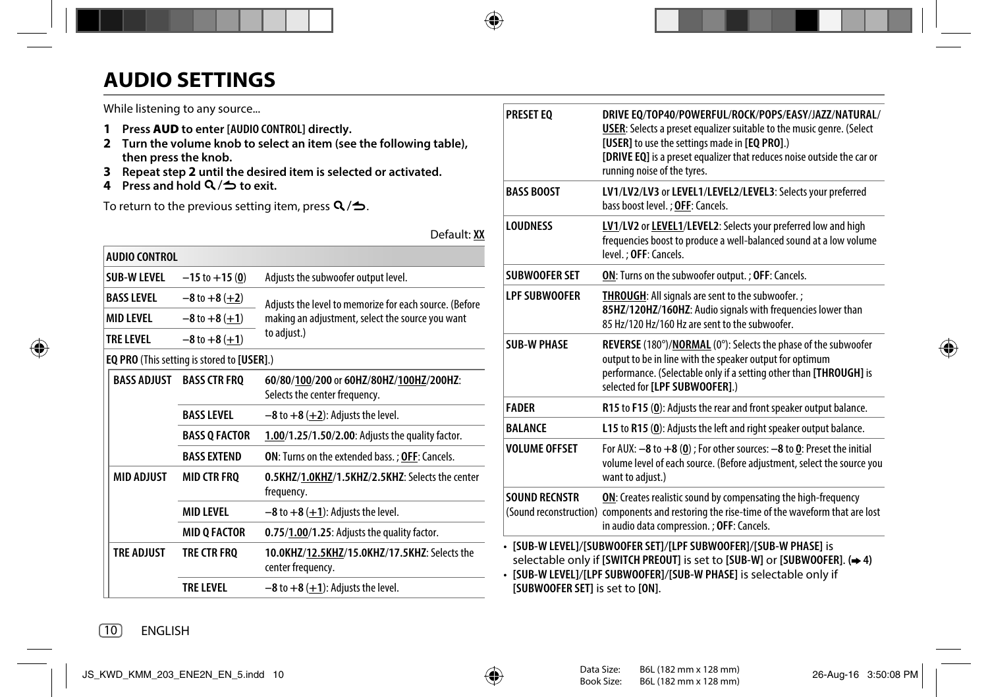# **AUDIO SETTINGS**

While listening to any source...

- **1 Press AUD to enter [AUDIO CONTROL] directly.**
- **2 Turn the volume knob to select an item (see the following table), then press the knob.**
- **3 Repeat step 2 until the desired item is selected or activated.**
- **4** Press and hold **Q** /**⇒** to exit.

To return to the previous setting item, press  $Q/\spadesuit$ .

Default: **XX**

| AUDIO CONTROL      |                                                   |                                                                          |  |
|--------------------|---------------------------------------------------|--------------------------------------------------------------------------|--|
| SUB-W I FVFI       | $-15$ to $+15(0)$                                 | Adjusts the subwoofer output level.                                      |  |
| <b>BASS LEVEL</b>  | $-8$ to $+8$ (+2)                                 | Adjusts the level to memorize for each source. (Before                   |  |
| MID I FVFI         | $-8$ to $+8$ (+1)                                 | making an adjustment, select the source you want                         |  |
| TRE LEVEL          | $-8$ to $+8$ (+1)                                 | to adjust.)                                                              |  |
|                    | <b>EQ PRO</b> (This setting is stored to [USER].) |                                                                          |  |
| <b>BASS ADJUST</b> | <b>BASS CTR FRO</b>                               | 60/80/100/200 or 60HZ/80HZ/100HZ/200HZ:<br>Selects the center frequency. |  |
|                    | <b>BASS LEVEL</b>                                 | $-8$ to $+8$ ( $+2$ ): Adjusts the level.                                |  |
|                    | <b>BASS Q FACTOR</b>                              | 1.00/1.25/1.50/2.00: Adjusts the quality factor.                         |  |
|                    | <b>BASS EXTEND</b>                                | <b>ON:</b> Turns on the extended bass. ; OFF: Cancels.                   |  |
| <b>MID ADJUST</b>  | <b>MID CTR FRQ</b>                                | 0.5KHZ/1.0KHZ/1.5KHZ/2.5KHZ: Selects the center<br>frequency.            |  |
|                    | <b>MID LEVEL</b>                                  | $-8$ to $+8$ ( $+1$ ): Adjusts the level.                                |  |
|                    | <b>MID Q FACTOR</b>                               | 0.75/1.00/1.25: Adjusts the quality factor.                              |  |
| <b>TRE ADJUST</b>  | TRE CTR FRO                                       | 10.0KHZ/12.5KHZ/15.0KHZ/17.5KHZ: Selects the<br>center frequency.        |  |
|                    | <b>TRF I FVFI</b>                                 | $-8$ to $+8$ ( $+1$ ): Adjusts the level.                                |  |
|                    |                                                   |                                                                          |  |

| <b>PRESET EO</b>                | DRIVE EO/TOP40/POWERFUL/ROCK/POPS/EASY/JAZZ/NATURAL/<br><b>USER:</b> Selects a preset equalizer suitable to the music genre. (Select<br>[USER] to use the settings made in [EQ PRO].)<br>[DRIVE EQ] is a preset equalizer that reduces noise outside the car or<br>running noise of the tyres. |  |
|---------------------------------|------------------------------------------------------------------------------------------------------------------------------------------------------------------------------------------------------------------------------------------------------------------------------------------------|--|
| <b>BASS BOOST</b>               | LV1/LV2/LV3 or LEVEL1/LEVEL2/LEVEL3: Selects your preferred<br>bass boost level.; OFF: Cancels.                                                                                                                                                                                                |  |
| <b>LOUDNESS</b>                 | LV1/LV2 or LEVEL1/LEVEL2: Selects your preferred low and high<br>frequencies boost to produce a well-balanced sound at a low volume<br>level.: OFF: Cancels.                                                                                                                                   |  |
| <b>SUBWOOFER SET</b>            | ON: Turns on the subwoofer output. ; OFF: Cancels.                                                                                                                                                                                                                                             |  |
| <b>LPF SUBWOOFER</b>            | THROUGH: All signals are sent to the subwoofer.;<br>85HZ/120HZ/160HZ: Audio signals with frequencies lower than<br>85 Hz/120 Hz/160 Hz are sent to the subwoofer.                                                                                                                              |  |
| <b>SUB-W PHASE</b>              | REVERSE (180°)/NORMAL (0°): Selects the phase of the subwoofer<br>output to be in line with the speaker output for optimum<br>performance. (Selectable only if a setting other than [THROUGH] is<br>selected for <b>[LPF SUBWOOFER]</b> .)                                                     |  |
| <b>FADER</b>                    | R15 to F15 (0): Adjusts the rear and front speaker output balance.                                                                                                                                                                                                                             |  |
| <b>BALANCE</b>                  | L15 to R15 (0): Adjusts the left and right speaker output balance.                                                                                                                                                                                                                             |  |
| VOI UMF OFFSFT                  | For AUX: $-8$ to $+8$ (0); For other sources: $-8$ to 0: Preset the initial<br>volume level of each source. (Before adjustment, select the source you<br>want to adjust.)                                                                                                                      |  |
| SOUND RECNSTR                   | ON: Creates realistic sound by compensating the high-frequency<br>(Sound reconstruction) components and restoring the rise-time of the waveform that are lost<br>in audio data compression. ; OFF: Cancels.                                                                                    |  |
| [SUBWOOFER SET] is set to [ON]. | • [SUB-W LEVEL]/[SUBWOOFER SET]/[LPF SUBWOOFER]/[SUB-W PHASE] is<br>selectable only if [SWITCH PREOUT] is set to [SUB-W] or [SUBW00FER]. (→ 4)<br>· [SUB-W LEVEL]/[LPF SUBWOOFER]/[SUB-W PHASE] is selectable only if                                                                          |  |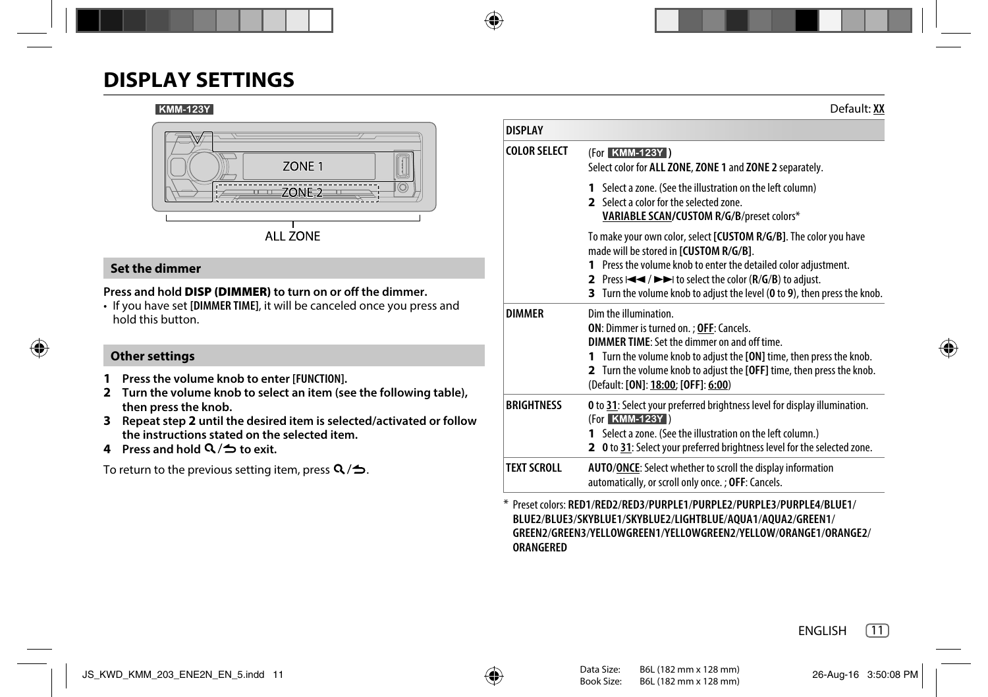# **DISPLAY SETTINGS**

#### **KMM-123Y**



# **Set the dimmer**

# **Press and hold DISP (DIMMER) to turn on or off the dimmer.**

• If you have set **[DIMMER TIME]**, it will be canceled once you press and hold this button.

# **Other settings**

- **1 Press the volume knob to enter [FUNCTION].**
- **2 Turn the volume knob to select an item (see the following table), then press the knob.**
- **3 Repeat step 2 until the desired item is selected/activated or follow the instructions stated on the selected item.**
- **4** Press and hold  $Q/\nightharpoonup$  to exit.

To return to the previous setting item, press  $Q/\spadesuit$ .

|                     | Deiauit. W                                                                                                                                                                                                                                                                                                                                     |
|---------------------|------------------------------------------------------------------------------------------------------------------------------------------------------------------------------------------------------------------------------------------------------------------------------------------------------------------------------------------------|
| <b>DISPLAY</b>      |                                                                                                                                                                                                                                                                                                                                                |
| <b>COLOR SELECT</b> | (For KMM-123Y)<br>Select color for ALL ZONE, ZONE 1 and ZONE 2 separately.                                                                                                                                                                                                                                                                     |
|                     | 1 Select a zone. (See the illustration on the left column)<br>2 Select a color for the selected zone.<br>VARIABLE SCAN/CUSTOM R/G/B/preset colors*                                                                                                                                                                                             |
|                     | To make your own color, select [CUSTOM R/G/B]. The color you have<br>made will be stored in [CUSTOM R/G/B].<br>1 Press the volume knob to enter the detailed color adjustment.<br>2 Press $\leftarrow$ / $\rightarrow$ to select the color ( $R/G/B$ ) to adjust.<br>3 Turn the volume knob to adjust the level (0 to 9), then press the knob. |
| <b>DIMMER</b>       | Dim the illumination.<br>ON: Dimmer is turned on. ; OFF: Cancels.<br>DIMMER TIME: Set the dimmer on and off time.<br>1 Turn the volume knob to adjust the [ON] time, then press the knob.<br>2 Turn the volume knob to adjust the [OFF] time, then press the knob.<br>(Default: [ON]: 18:00; [OFF]: 6:00)                                      |
| <b>BRIGHTNESS</b>   | O to 31: Select your preferred brightness level for display illumination.<br>(For KMM-123Y)<br>1 Select a zone. (See the illustration on the left column.)<br>2 0 to 31: Select your preferred brightness level for the selected zone.                                                                                                         |
| <b>TEXT SCROLL</b>  | <b>AUTO/ONCE:</b> Select whether to scroll the display information<br>automatically, or scroll only once.; OFF: Cancels.                                                                                                                                                                                                                       |

\* Preset colors: **RED1**/**RED2**/**RED3**/**PURPLE1**/**PURPLE2**/**PURPLE3**/**PURPLE4**/**BLUE1**/ **BLUE2**/**BLUE3**/**SKYBLUE1**/**SKYBLUE2**/**LIGHTBLUE**/**AQUA1**/**AQUA2**/**GREEN1**/ **GREEN2**/**GREEN3**/**YELLOWGREEN1**/**YELLOWGREEN2**/**YELLOW**/**ORANGE1**/**ORANGE2**/ **ORANGERED**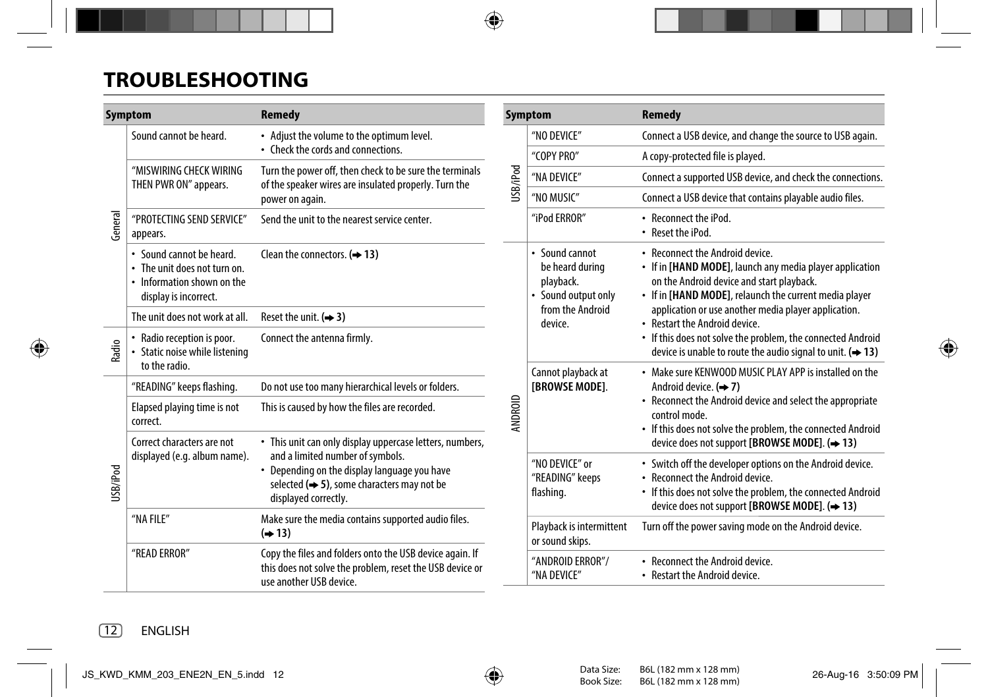# **TROUBLESHOOTING**

| Symptom  |                                                                                                                                                                                                                                                                                               | <b>Remedy</b>                                                                                                                                   |          | Symptom                                                               | <b>Remedy</b>                                                                                                                                                                                                                                                                                                                                                                                                                        |
|----------|-----------------------------------------------------------------------------------------------------------------------------------------------------------------------------------------------------------------------------------------------------------------------------------------------|-------------------------------------------------------------------------------------------------------------------------------------------------|----------|-----------------------------------------------------------------------|--------------------------------------------------------------------------------------------------------------------------------------------------------------------------------------------------------------------------------------------------------------------------------------------------------------------------------------------------------------------------------------------------------------------------------------|
|          | Sound cannot be heard.                                                                                                                                                                                                                                                                        | • Adjust the volume to the optimum level.<br>• Check the cords and connections.                                                                 |          | "NO DEVICE"                                                           | Connect a USB device, and change the source to USB again.                                                                                                                                                                                                                                                                                                                                                                            |
| General  |                                                                                                                                                                                                                                                                                               |                                                                                                                                                 |          | "COPY PRO"                                                            | A copy-protected file is played.                                                                                                                                                                                                                                                                                                                                                                                                     |
|          | "MISWIRING CHECK WIRING<br>THEN PWR ON" appears.                                                                                                                                                                                                                                              | Turn the power off, then check to be sure the terminals<br>of the speaker wires are insulated properly. Turn the                                | USB/iPod | "NA DEVICE"                                                           | Connect a supported USB device, and check the connections.                                                                                                                                                                                                                                                                                                                                                                           |
|          |                                                                                                                                                                                                                                                                                               | power on again.                                                                                                                                 |          | "NO MUSIC"                                                            | Connect a USB device that contains playable audio files.                                                                                                                                                                                                                                                                                                                                                                             |
|          | "PROTECTING SEND SERVICE"<br>appears.                                                                                                                                                                                                                                                         | Send the unit to the nearest service center.                                                                                                    |          | "iPod ERROR"                                                          | • Reconnect the iPod.<br>• Reset the iPod.                                                                                                                                                                                                                                                                                                                                                                                           |
|          | • Sound cannot be heard.<br>• The unit does not turn on.<br>• Information shown on the<br>display is incorrect.                                                                                                                                                                               | Clean the connectors. $(\rightarrow 13)$                                                                                                        |          | • Sound cannot<br>be heard during<br>playback.<br>• Sound output only | • Reconnect the Android device.<br>• If in [HAND MODE], launch any media player application<br>on the Android device and start playback.<br>• If in [HAND MODE], relaunch the current media player<br>application or use another media player application.<br>• Restart the Android device.<br>• If this does not solve the problem, the connected Android<br>device is unable to route the audio signal to unit. $(\rightarrow 13)$ |
|          | The unit does not work at all.                                                                                                                                                                                                                                                                | Reset the unit. $(4, 3)$                                                                                                                        |          | from the Android<br>device.                                           |                                                                                                                                                                                                                                                                                                                                                                                                                                      |
| Radio    | • Radio reception is poor.<br>• Static noise while listening<br>to the radio.                                                                                                                                                                                                                 | Connect the antenna firmly.                                                                                                                     |          |                                                                       |                                                                                                                                                                                                                                                                                                                                                                                                                                      |
|          | "READING" keeps flashing.                                                                                                                                                                                                                                                                     | Do not use too many hierarchical levels or folders.                                                                                             |          |                                                                       | • Make sure KENWOOD MUSIC PLAY APP is installed on the<br>Android device. $(\Rightarrow 7)$                                                                                                                                                                                                                                                                                                                                          |
|          | Elapsed playing time is not<br>correct.                                                                                                                                                                                                                                                       | This is caused by how the files are recorded.                                                                                                   | ANDROID  | [BROWSE MODE].                                                        | • Reconnect the Android device and select the appropriate<br>control mode.<br>• If this does not solve the problem, the connected Android                                                                                                                                                                                                                                                                                            |
|          | Correct characters are not<br>• This unit can only display uppercase letters, numbers,<br>and a limited number of symbols.<br>displayed (e.g. album name).<br>• Depending on the display language you have<br>selected $(\Rightarrow 5)$ , some characters may not be<br>displayed correctly. |                                                                                                                                                 |          |                                                                       | device does not support [BROWSE MODE]. (→ 13)                                                                                                                                                                                                                                                                                                                                                                                        |
| USB/iPod |                                                                                                                                                                                                                                                                                               |                                                                                                                                                 |          | "NO DEVICE" or<br>"READING" keeps<br>flashing.                        | • Switch off the developer options on the Android device.<br>• Reconnect the Android device.<br>• If this does not solve the problem, the connected Android<br>device does not support [BROWSE MODE]. (→ 13)                                                                                                                                                                                                                         |
|          | "NA FILE"                                                                                                                                                                                                                                                                                     | Make sure the media contains supported audio files.<br>$(\rightarrow 13)$                                                                       |          | Playback is intermittent<br>or sound skips.                           | Turn off the power saving mode on the Android device.                                                                                                                                                                                                                                                                                                                                                                                |
|          | "READ ERROR"                                                                                                                                                                                                                                                                                  | Copy the files and folders onto the USB device again. If<br>this does not solve the problem, reset the USB device or<br>use another USB device. |          | "ANDROID ERROR"/<br>"NA DEVICE"                                       | • Reconnect the Android device.<br>• Restart the Android device.                                                                                                                                                                                                                                                                                                                                                                     |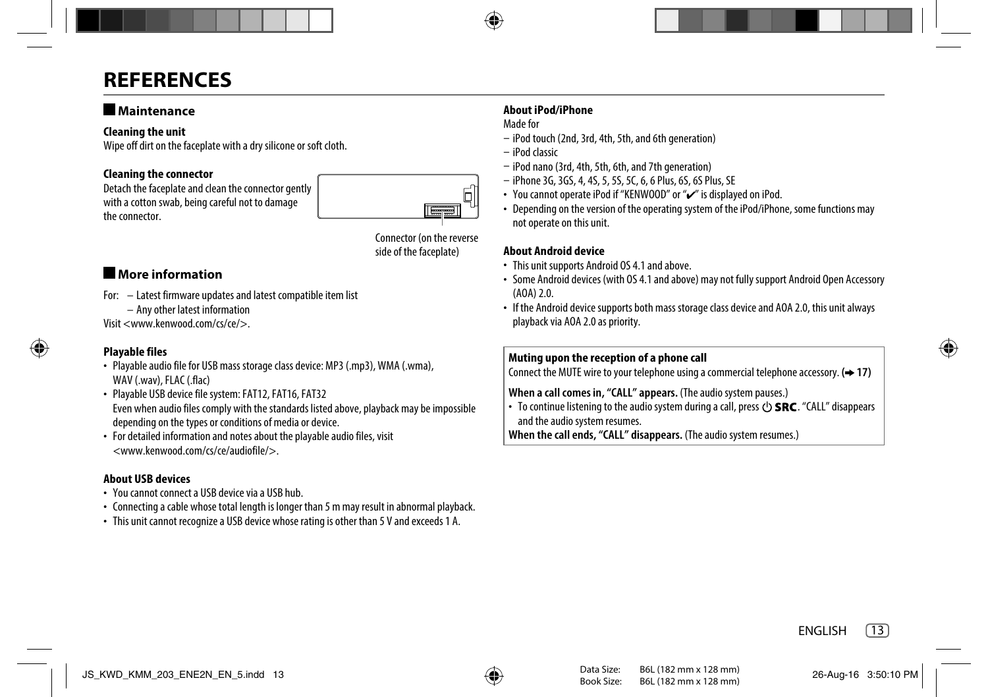# **REFERENCES**

# **Maintenance**

## **Cleaning the unit**

Wipe off dirt on the faceplate with a dry silicone or soft cloth.

# **Cleaning the connector**

Detach the faceplate and clean the connector gently with a cotton swab, being careful not to damage the connector.



Connector (on the reverse side of the faceplate)

# **More information**

- For: Latest firmware updates and latest compatible item list
	- Any other latest information

Visit <www.kenwood.com/cs/ce/>.

# **Playable files**

- Playable audio file for USB mass storage class device: MP3 (.mp3), WMA (.wma), WAV (.wav), FLAC (.flac)
- Playable USB device file system: FAT12, FAT16, FAT32 Even when audio files comply with the standards listed above, playback may be impossible depending on the types or conditions of media or device.
- For detailed information and notes about the playable audio files, visit <www.kenwood.com/cs/ce/audiofile/>.

# **About USB devices**

- You cannot connect a USB device via a USB hub.
- Connecting a cable whose total length is longer than 5 m may result in abnormal playback.
- This unit cannot recognize a USB device whose rating is other than 5 V and exceeds 1 A.

# **About iPod/iPhone**

Made for

- iPod touch (2nd, 3rd, 4th, 5th, and 6th generation)
- iPod classic
- iPod nano (3rd, 4th, 5th, 6th, and 7th generation)
- iPhone 3G, 3GS, 4, 4S, 5, 5S, 5C, 6, 6 Plus, 6S, 6S Plus, SE
- You cannot operate iPod if "KENWOOD" or " $\checkmark$ " is displayed on iPod.
- Depending on the version of the operating system of the iPod/iPhone, some functions may not operate on this unit.

# **About Android device**

- This unit supports Android OS 4.1 and above.
- Some Android devices (with OS 4.1 and above) may not fully support Android Open Accessory (AOA) 2.0.
- If the Android device supports both mass storage class device and AOA 2.0, this unit always playback via AOA 2.0 as priority.

# **Muting upon the reception of a phone call**

Connect the MUTE wire to your telephone using a commercial telephone accessory. **( 17)**

# **When a call comes in, "CALL" appears.** (The audio system pauses.)

• To continue listening to the audio system during a call, press  $(1)$  **SRC**, "CALL" disappears and the audio system resumes.

**When the call ends, "CALL" disappears.** (The audio system resumes.)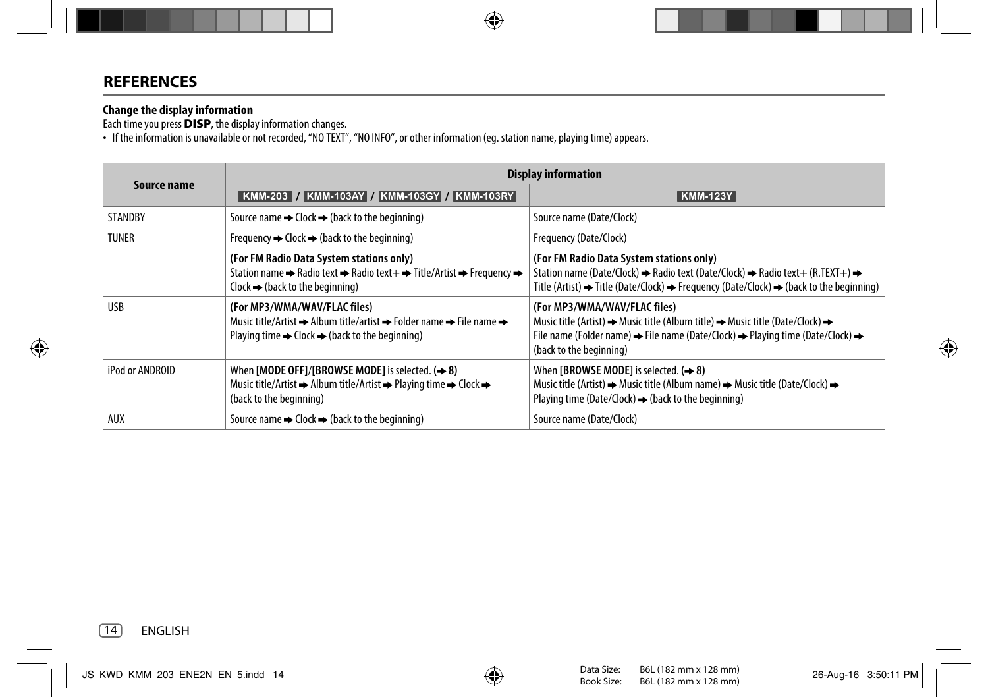# **REFERENCES**

### **Change the display information**

Each time you press **DISP**, the display information changes.

• If the information is unavailable or not recorded, "NO TEXT", "NO INFO", or other information (eg. station name, playing time) appears.

|                 | <b>Display information</b>                                                                                                                                                                                                    |                                                                                                                                                                                                                                                                                                    |  |  |
|-----------------|-------------------------------------------------------------------------------------------------------------------------------------------------------------------------------------------------------------------------------|----------------------------------------------------------------------------------------------------------------------------------------------------------------------------------------------------------------------------------------------------------------------------------------------------|--|--|
| Source name     | KMM-203 / KMM-103AY / KMM-103GY / KMM-103RY                                                                                                                                                                                   | <b>KMM-123Y</b>                                                                                                                                                                                                                                                                                    |  |  |
| <b>STANDBY</b>  | Source name $\rightarrow$ Clock $\rightarrow$ (back to the beginning)                                                                                                                                                         | Source name (Date/Clock)                                                                                                                                                                                                                                                                           |  |  |
| TUNER           | Frequency $\rightarrow$ Clock $\rightarrow$ (back to the beginning)                                                                                                                                                           | Frequency (Date/Clock)                                                                                                                                                                                                                                                                             |  |  |
|                 | (For FM Radio Data System stations only)<br>Station name → Radio text → Radio text + → Title/Artist → Frequency →<br>$Clock \rightarrow (back to the beginning)$                                                              | (For FM Radio Data System stations only)<br>Station name (Date/Clock) $\rightarrow$ Radio text (Date/Clock) $\rightarrow$ Radio text+ (R.TEXT+) $\rightarrow$<br>Title (Artist) $\rightarrow$ Title (Date/Clock) $\rightarrow$ Frequency (Date/Clock) $\rightarrow$ (back to the beginning)        |  |  |
| <b>USB</b>      | (For MP3/WMA/WAV/FLAC files)<br>Music title/Artist $\rightarrow$ Album title/artist $\rightarrow$ Folder name $\rightarrow$ File name $\rightarrow$<br>Playing time $\rightarrow$ Clock $\rightarrow$ (back to the beginning) | (For MP3/WMA/WAV/FLAC files)<br>Music title (Artist) $\rightarrow$ Music title (Album title) $\rightarrow$ Music title (Date/Clock) $\rightarrow$<br>File name (Folder name) $\Rightarrow$ File name (Date/Clock) $\Rightarrow$ Playing time (Date/Clock) $\Rightarrow$<br>(back to the beginning) |  |  |
| iPod or ANDROID | When [MODE OFF]/[BROWSE MODE] is selected. $(\rightarrow 8)$<br>Music title/Artist $\rightarrow$ Album title/Artist $\rightarrow$ Playing time $\rightarrow$ Clock $\rightarrow$<br>(back to the beginning)                   | When [BROWSE MODE] is selected. $(\Rightarrow 8)$<br>Music title (Artist) $\rightarrow$ Music title (Album name) $\rightarrow$ Music title (Date/Clock) $\rightarrow$<br>Playing time (Date/Clock) $\rightarrow$ (back to the beginning)                                                           |  |  |
| AUX             | Source name $\rightarrow$ Clock $\rightarrow$ (back to the beginning)                                                                                                                                                         | Source name (Date/Clock)                                                                                                                                                                                                                                                                           |  |  |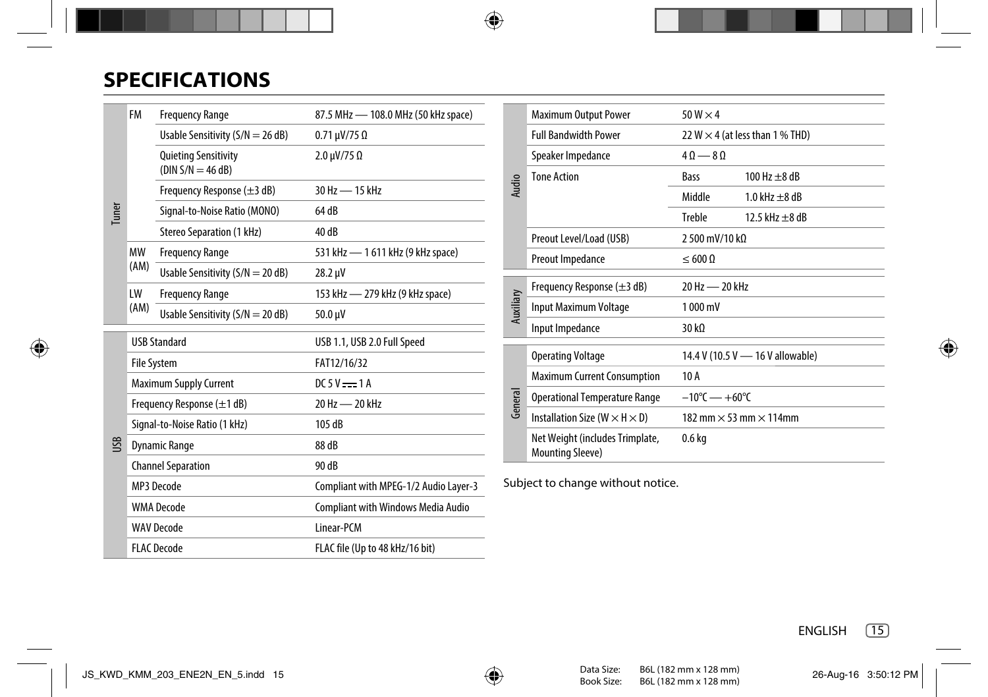# **SPECIFICATIONS**

| <b>Tuner</b> | <b>FM</b><br><b>Frequency Range</b>     |                                                    | 87.5 MHz - 108.0 MHz (50 kHz space)       |  |
|--------------|-----------------------------------------|----------------------------------------------------|-------------------------------------------|--|
|              |                                         | Usable Sensitivity $(S/N = 26 dB)$                 | $0.71 \mu V/75 \Omega$                    |  |
|              |                                         | <b>Quieting Sensitivity</b><br>$(DIN S/N = 46 dB)$ | $2.0 \mu V/75 \Omega$                     |  |
|              |                                         | Frequency Response $(\pm 3$ dB)                    | 30 Hz - 15 kHz                            |  |
|              |                                         | Signal-to-Noise Ratio (MONO)                       | 64 dB                                     |  |
|              |                                         | Stereo Separation (1 kHz)                          | 40 dB                                     |  |
|              | MW                                      | <b>Frequency Range</b>                             | 531 kHz - 1 611 kHz (9 kHz space)         |  |
|              | (AM)                                    | Usable Sensitivity ( $S/N = 20$ dB)                | 28.2 µV                                   |  |
|              | LW                                      | <b>Frequency Range</b>                             | 153 kHz - 279 kHz (9 kHz space)           |  |
|              | (AM)                                    | Usable Sensitivity ( $S/N = 20$ dB)                | 50.0 µV                                   |  |
|              | <b>USB Standard</b>                     |                                                    | USB 1.1, USB 2.0 Full Speed               |  |
|              | <b>File System</b>                      |                                                    | FAT12/16/32                               |  |
|              | <b>Maximum Supply Current</b>           |                                                    | $DC5V$ $- 1A$                             |  |
|              | Frequency Response $(\pm 1 \text{ dB})$ |                                                    | 20 Hz - 20 kHz                            |  |
|              | Signal-to-Noise Ratio (1 kHz)           |                                                    | 105 dB                                    |  |
| USB          | <b>Dynamic Range</b>                    |                                                    | 88 dB                                     |  |
|              | <b>Channel Separation</b>               |                                                    | 90 dB                                     |  |
|              |                                         | MP3 Decode                                         | Compliant with MPEG-1/2 Audio Layer-3     |  |
|              | <b>WMA</b> Decode                       |                                                    | <b>Compliant with Windows Media Audio</b> |  |
|              |                                         | <b>WAV Decode</b>                                  | Linear-PCM                                |  |
|              | <b>FLAC Decode</b>                      |                                                    | FLAC file (Up to 48 kHz/16 bit)           |  |

|           | <b>Maximum Output Power</b>                                | $50 W \times 4$                   |                                        |  |
|-----------|------------------------------------------------------------|-----------------------------------|----------------------------------------|--|
|           | <b>Full Bandwidth Power</b>                                |                                   | 22 W $\times$ 4 (at less than 1 % THD) |  |
|           | Speaker Impedance                                          | $40 - 80$                         |                                        |  |
| Audio     | <b>Tone Action</b>                                         | Bass                              | $100 Hz + 8 dB$                        |  |
|           |                                                            | Middle                            | $1.0$ kHz $+8$ dB                      |  |
|           |                                                            | Treble                            | 12.5 kHz $+8$ dB                       |  |
|           | Preout Level/Load (USB)                                    | 2 500 mV/10 kΩ                    |                                        |  |
|           | Preout Impedance                                           | $< 600 \Omega$                    |                                        |  |
|           |                                                            |                                   |                                        |  |
|           | Frequency Response $(\pm 3 \text{ dB})$                    | 20 Hz - 20 kHz                    |                                        |  |
| Auxiliary | Input Maximum Voltage                                      | 1000 mV                           |                                        |  |
|           | Input Impedance                                            | 30 kQ                             |                                        |  |
|           | <b>Operating Voltage</b>                                   |                                   | 14.4 V (10.5 V - 16 V allowable)       |  |
|           | <b>Maximum Current Consumption</b>                         | 10 A                              |                                        |  |
| General   | <b>Operational Temperature Range</b>                       | $-10^{\circ}$ C $- +60^{\circ}$ C |                                        |  |
|           | Installation Size ( $W \times H \times D$ )                |                                   | 182 mm $\times$ 53 mm $\times$ 114mm   |  |
|           | Net Weight (includes Trimplate,<br><b>Mounting Sleeve)</b> | 0.6 kg                            |                                        |  |

Subject to change without notice.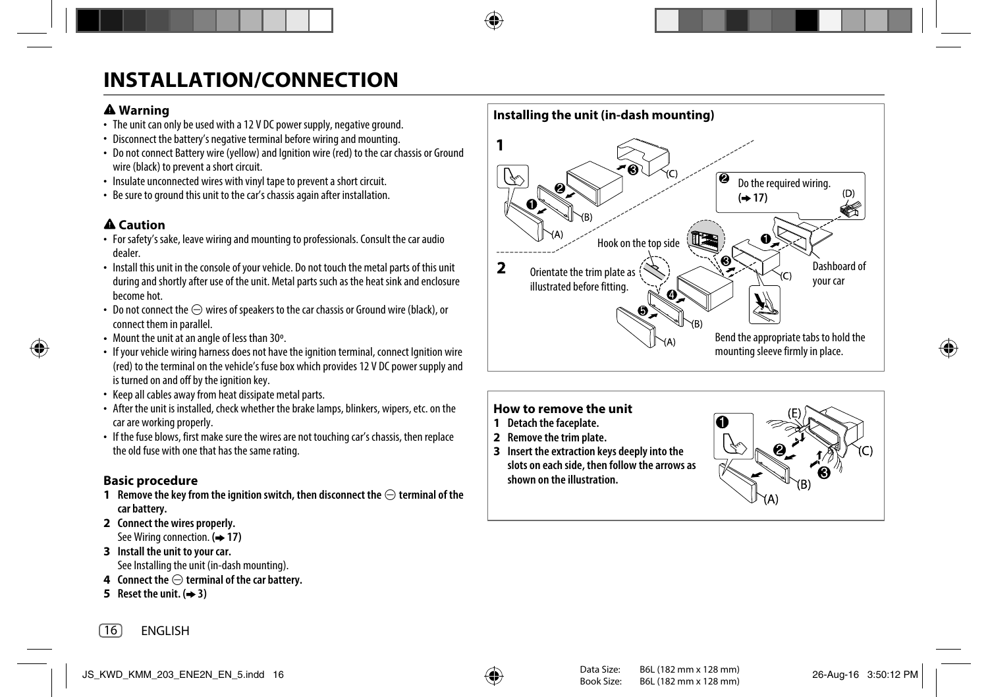# **INSTALLATION/CONNECTION**

# **Warning**

- The unit can only be used with a 12 V DC power supply, negative ground.
- Disconnect the battery's negative terminal before wiring and mounting.
- Do not connect Battery wire (yellow) and Ignition wire (red) to the car chassis or Ground wire (black) to prevent a short circuit.
- Insulate unconnected wires with vinyl tape to prevent a short circuit.
- Be sure to ground this unit to the car's chassis again after installation.

# **Caution**

- For safety's sake, leave wiring and mounting to professionals. Consult the car audio dealer.
- Install this unit in the console of your vehicle. Do not touch the metal parts of this unit during and shortly after use of the unit. Metal parts such as the heat sink and enclosure become hot.
- Do not connect the  $\ominus$  wires of speakers to the car chassis or Ground wire (black), or connect them in parallel.
- Mount the unit at an angle of less than 30º.
- If your vehicle wiring harness does not have the ignition terminal, connect Ignition wire (red) to the terminal on the vehicle's fuse box which provides 12 V DC power supply and is turned on and off by the ignition key.
- Keep all cables away from heat dissipate metal parts.
- After the unit is installed, check whether the brake lamps, blinkers, wipers, etc. on the car are working properly.
- If the fuse blows, first make sure the wires are not touching car's chassis, then replace the old fuse with one that has the same rating.

# **Basic procedure**

- **1** Remove the key from the ignition switch, then disconnect the  $\ominus$  terminal of the **car battery.**
- **2 Connect the wires properly.** See Wiring connection. ( $\rightarrow$  17)
- **3 Install the unit to your car.** See Installing the unit (in-dash mounting).
- **4** Connect the  $\ominus$  terminal of the car battery.
- **5** Reset the unit.  $(4)$  3)



# **How to remove the unit**

- **1 Detach the faceplate.**
- **2 Remove the trim plate.**
- **3 Insert the extraction keys deeply into the slots on each side, then follow the arrows as shown on the illustration.**

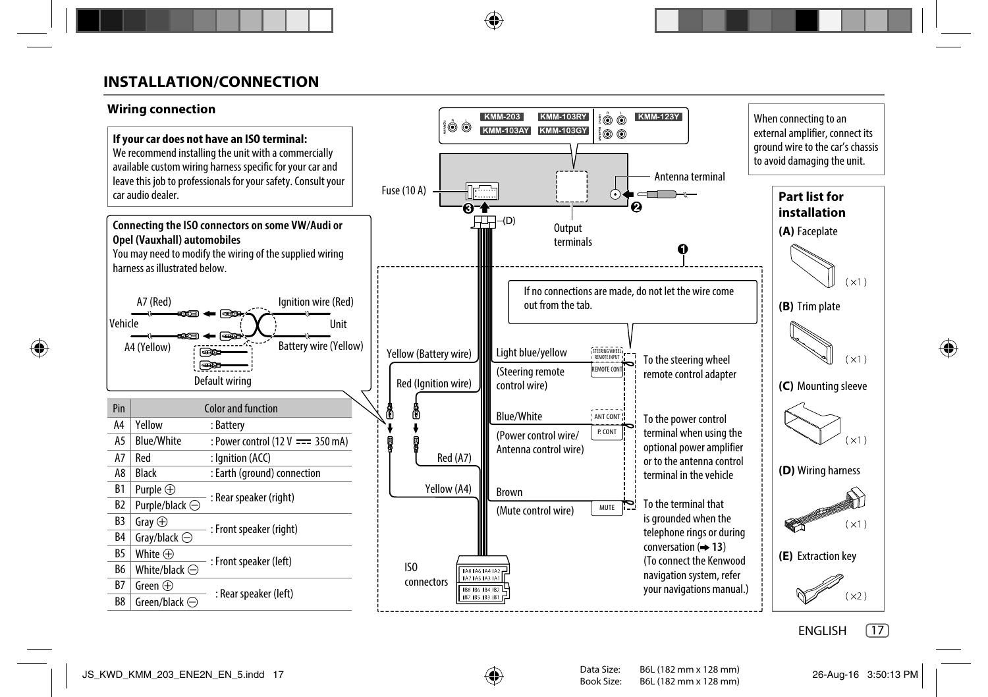# **INSTALLATION/CONNECTION**

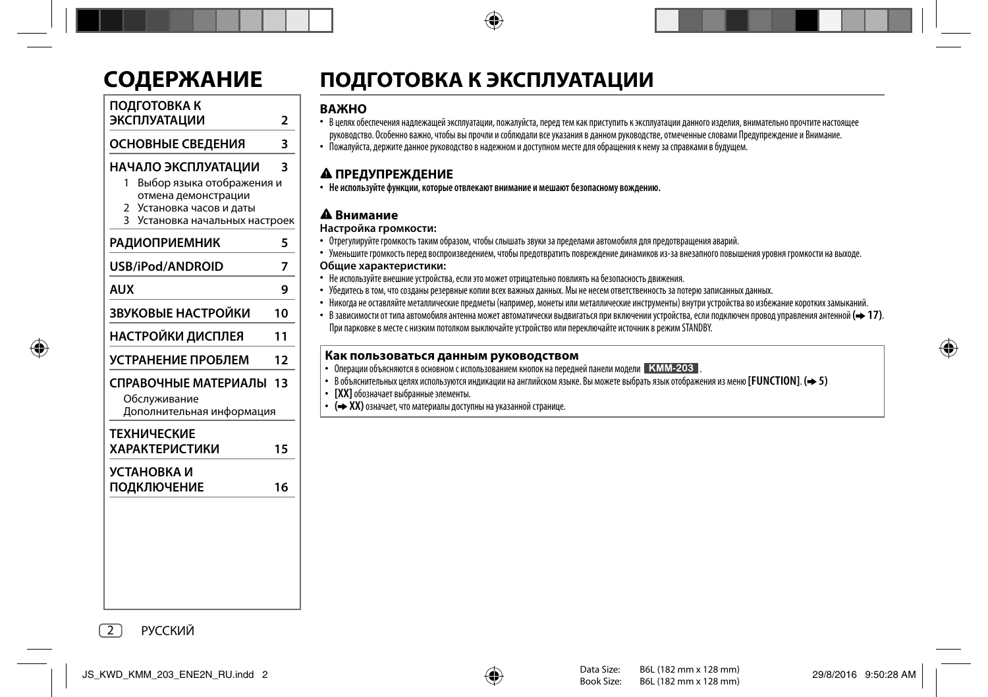| <u>.ОДЕРЖАНИЕ</u>                                                                                                                                           |                |
|-------------------------------------------------------------------------------------------------------------------------------------------------------------|----------------|
| ПОДГОТОВКА К<br>ЭКСПЛУАТАЦИИ                                                                                                                                | $\overline{2}$ |
| ОСНОВНЫЕ СВЕДЕНИЯ                                                                                                                                           | 3              |
| НАЧАЛО ЭКСПЛУАТАЦИИ<br>Выбор языка отображения и<br>1<br>отмена демонстрации<br>Установка часов и даты<br>2<br>$\mathbf{z}$<br>Установка начальных настроек | ٦              |
| <b>РАДИОПРИЕМНИК</b>                                                                                                                                        | 5              |
| USB/iPod/ANDROID                                                                                                                                            | 7              |
| <b>AUX</b>                                                                                                                                                  | 9              |
| ЗВУКОВЫЕ НАСТРОЙКИ                                                                                                                                          | 10             |
| НАСТРОЙКИ ДИСПЛЕЯ                                                                                                                                           | 11             |
| УСТРАНЕНИЕ ПРОБЛЕМ                                                                                                                                          | 12             |
| СПРАВОЧНЫЕ МАТЕРИАЛЫ 13<br>Обслуживание<br>Дополнительная информация                                                                                        |                |
| <b>ТЕХНИЧЕСКИЕ</b><br><b>ХАРАКТЕРИСТИКИ</b>                                                                                                                 | 15             |
| УСТАНОВКА И<br>ПОДКЛЮЧЕНИЕ                                                                                                                                  | 16             |
|                                                                                                                                                             |                |

# **CОДЕРЖАНИЕ ПОДГОТОВКА К ЭКСПЛУАТАЦИИ**

# **ВАЖНО**

- В целях обеспечения надлежащей эксплуатации, пожалуйста, перед тем как приступить к эксплуатации данного изделия, внимательно прочтите настоящее руководство. Особенно важно, чтобы вы прочли и соблюдали все указания в данном руководстве, отмеченные словами Предупреждение и Внимание.
- Пожалуйста, держите данное руководство в надежном и доступном месте для обращения к нему за справками в будущем.

 **ПРЕДУПРЕЖДЕНИЕ** • **Не используйте функции, которые отвлекают внимание и мешают безопасному вождению.**

# **Внимание**

## **Настройка громкости:**

- Отрегулируйте громкость таким образом, чтобы слышать звуки за пределами автомобиля для предотвращения аварий.
- Уменьшите громкость перед воспроизведением, чтобы предотвратить повреждение динамиков из-за внезапного повышения уровня громкости на выходе.

## **Общие характеристики:**

- Не используйте внешние устройства, если это может отрицательно повлиять на безопасность движения.
- Убедитесь в том, что созданы резервные копии всех важных данных. Мы не несем ответственность за потерю записанных данных.
- Никогда не оставляйте металлические предметы (например, монеты или металлические инструменты) внутри устройства во избежание коротких замыканий.
- В зависимости от типа автомобиля антенна может автоматически выдвигаться при включении устройства, если подключен провод управления антенной **( 17)**. При парковке в месте с низким потолком выключайте устройство или переключайте источник в режим STANDBY.

# **Как пользоваться данным руководством**

- Операции объясняются в основном с использованием кнопок на передней панели модели . КММ-203.
- В объяснительных целях используются индикации на английском языке. Вы можете выбрать язык отображения из меню **[FUNCTION]**. **( 5) [XX]** обозначает выбранные элементы.
	-
- **( XX)** означает, что материалы доступны на указанной странице.

2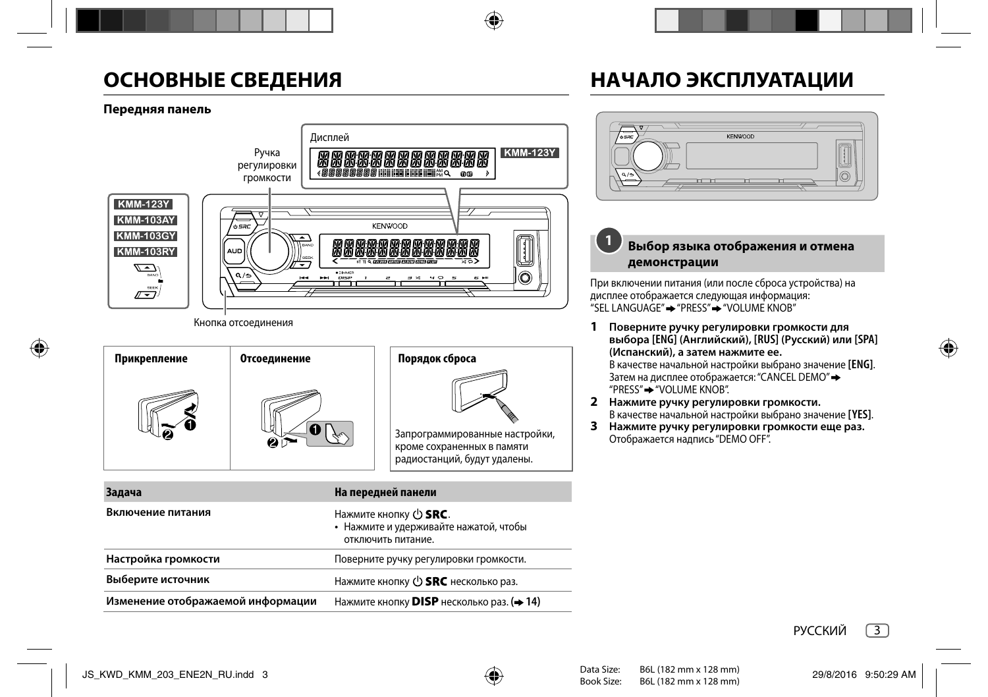# **ОСНОВНЫЕ СВЕДЕНИЯ**

# **НАЧАЛО ЭКСПЛУАТАЦИИ**

# **Передняя панель**



Кнопка отсоединения

| Прикрепление | Отсоединение | Порядок сброса                                                                               |
|--------------|--------------|----------------------------------------------------------------------------------------------|
|              |              | Запрограммированные настройки,<br>кроме сохраненных в памяти<br>радиостанций, будут удалены. |

| Задача                            | На передней панели                                                                    |
|-----------------------------------|---------------------------------------------------------------------------------------|
| Включение питания                 | Нажмите кнопку ( SRC.<br>• Нажмите и удерживайте нажатой, чтобы<br>отключить питание. |
| Настройка громкости               | Поверните ручку регулировки громкости.                                                |
| Выберите источник                 | Нажмите кнопку ( <sup>1</sup> ) <b>SRC</b> несколько раз.                             |
| Изменение отображаемой информации | Нажмите кнопку DISP несколько раз. (+ 14)                                             |



#### **Выбор языка отображения и отмена демонстрации 1**

При включении питания (или после сброса устройства) на дисплее отображается следующая информация:  $"$ SEL LANGUAGE"  $\rightarrow$  "PRESS" $\rightarrow$  "VOLUME KNOB"

- **1 Поверните ручку регулировки громкости для выбора [ENG] (Aнглийский), [RUS] (Pусский) или [SPA] (Испанский), а затем нажмите ее.** В качестве начальной настройки выбрано значение **[ENG]**. Затем на дисплее отображается: "CANCEL DEMO" "PRESS" "VOLUME KNOB".
- **2 Нажмите ручку регулировки громкости.** В качестве начальной настройки выбрано значение **[YES]**.
- **3 Нажмите ручку регулировки громкости еще раз.** Отображается надпись "DEMO OFF".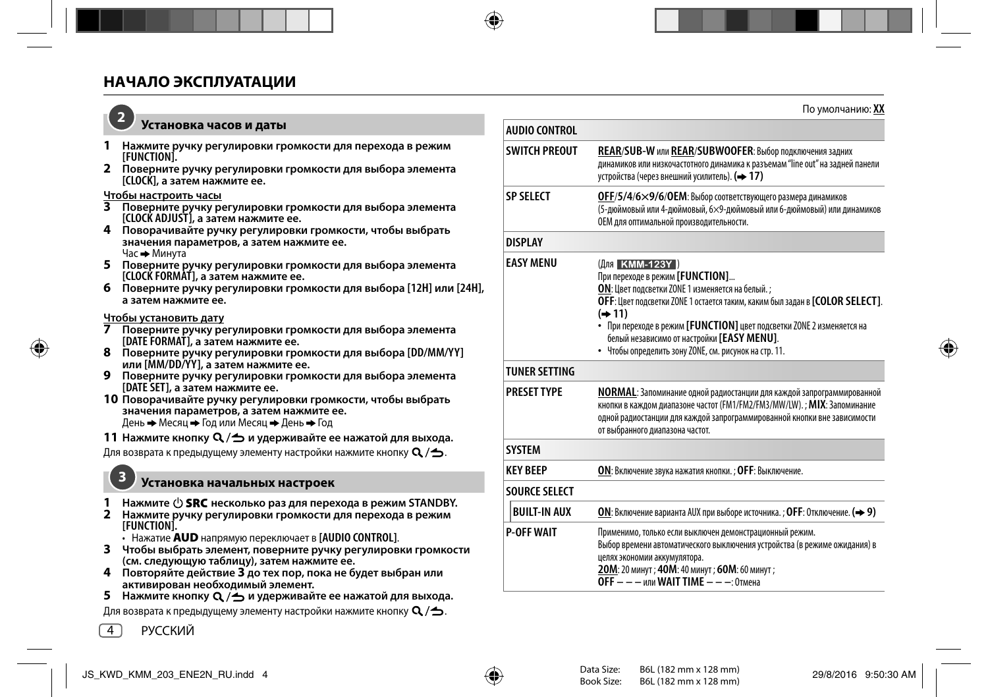

## **Установка часов и даты**

- **1 Нажмите ручку регулировки громкости для перехода в режим**
- **[FUNCTION]. <sup>2</sup>Поверните ручку регулировки громкости для выбора элемента [CLOCK], а затем нажмите ее.**

#### **Чтобы настроить часы**

- **3 Поверните ручку регулировки громкости для выбора элемента [CLOCK ADJUST], а затем нажмите ее.**
- **4 Поворачивайте ручку регулировки громкости, чтобы выбрать значения параметров, а затем нажмите ее.** Час - Минута
- **5 Поверните ручку регулировки громкости для выбора элемента [CLOCK FORMAT], а затем нажмите ее.**
- **6 Поверните ручку регулировки громкости для выбора [12H] или [24H], а затем нажмите ее.**

#### **Чтобы установить дату**

- **7 Поверните ручку регулировки громкости для выбора элемента [DATE FORMAT], а затем нажмите ее.**
- **<sup>8</sup>Поверните ручку регулировки громкости для выбора [DD/MM/YY] или [MM/DD/YY], а затем нажмите ее.**
- **9 Поверните ручку регулировки громкости для выбора элемента [DATE SET], а затем нажмите ее.**
- **10 Поворачивайте ручку регулировки громкости, чтобы выбрать значения параметров, а затем нажмите ее.** День → Месяц → Год или Месяц → День → Год
- **11 Нажмите кнопку**  $\mathbb{Q}/\mathbb{Z}$  **и удерживайте ее нажатой для выхода.**

Для возврата к предыдущему элементу настройки нажмите кнопку  $\mathbf{Q}/\mathbf{\triangle}$ .

## **Установка начальных настроек**

- **1 Нажмите несколько раз для перехода в режим STANDBY.**
- **2 Нажмите ручку регулировки громкости для перехода в режим [FUNCTION].**
	- Нажатие **AUD** напрямую переключает в **[AUDIO CONTROL]**.
- **3 Чтобы выбрать элемент, поверните ручку регулировки громкости (см. следующую таблицу), затем нажмите ее.**
- **4 Повторяйте действие 3 до тех пор, пока не будет выбран или активирован необходимый элемент.**
- **5** Нажмите кнопку  $Q \rightarrow$  и удерживайте ее нажатой для выхода.

Для возврата к предыдущему элементу настройки нажмите кнопку  $\mathbf{Q}$  / $\blacktriangle$ .

**AUDIO CONTROL SWITCH PREOUT REAR**/**SUB-W** или **REAR**/**SUBWOOFER**: Выбор подключения задних динамиков или низкочастотного динамика к разъемам "line out" на задней панели устройства (через внешний усилитель). **( 17) SP SELECT OFF**/**5/4**/**6×9/6**/**OEM**: Выбор соответствующего размера динамиков (5-дюймовый или 4-дюймовый, 6×9-дюймовый или 6-дюймовый) или динамиков OEM для оптимальной производительности. **DISPLAY EASY MENU** (Для **КММ-123Y)** При переходе в режим **[FUNCTION]**... **ON**: Цвет подсветки ZONE 1 изменяется на белый. ; **OFF**: Цвет подсветки ZONE 1 остается таким, каким был задан в **[COLOR SELECT]**. **( 11)** • При переходе в режим **[FUNCTION]** цвет подсветки ZONE 2 изменяется на белый независимо от настройки **[EASY MENU]**. • Чтобы определить зону ZONE, см. рисунок на стр. 11. **TUNER SETTING PRESET TYPE NORMAL**: Запоминание одной радиостанции для каждой запрограммированной кнопки в каждом диапазоне частот (FM1/FM2/FM3/MW/LW). ; **MIX**: Запоминание одной радиостанции для каждой запрограммированной кнопки вне зависимости от выбранного диапазона частот. **SYSTEM KEY BEEP ON**: Включение звука нажатия кнопки. ; **OFF**: Выключение. **SOURCE SELECT BUILT-IN AUX ON**: Включение варианта AUX при выборе источника. ; **OFF**: Отключение. **( 9) P-OFF WAIT** Применимо, только если выключен демонстрационный режим. Выбор времени автоматического выключения устройства (в режиме ожидания) в целях экономии аккумулятора.

**20M**: 20 минут ; **40M**: 40 минут ; **60M**: 60 минут ;

**OFF – – –** или **WAIT TIME – – –**: Отмена

4

**3**

По умолчанию: **XX**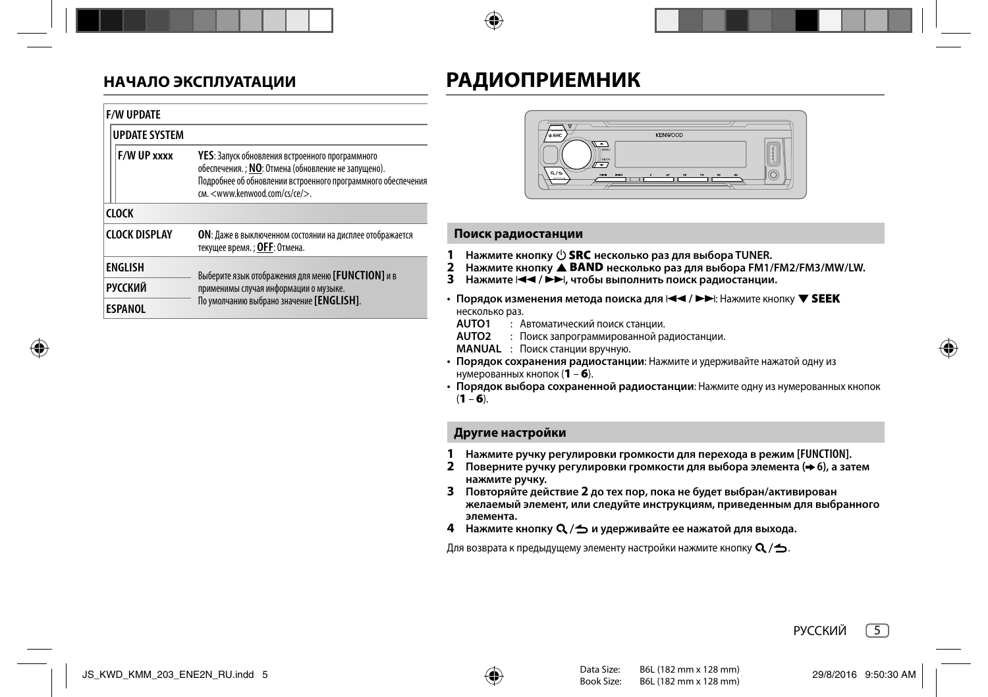# **НАЧАЛО ЭКСПЛУАТАЦИИ**

# **РАДИОПРИЕМНИК**

|                                  | <b>F/W UPDATE</b>    |                                                                                                                                                                                                                  |  |
|----------------------------------|----------------------|------------------------------------------------------------------------------------------------------------------------------------------------------------------------------------------------------------------|--|
|                                  | <b>UPDATE SYSTEM</b> |                                                                                                                                                                                                                  |  |
|                                  | F/W UP xxxx          | <b>YES</b> : Запуск обновления встроенного программного<br>обеспечения. ; NO: Отмена (обновление не запущено).<br>Подробнее об обновлении встроенного программного обеспечения<br>CM. < www.kenwood.com/cs/ce/>. |  |
|                                  | <b>CLOCK</b>         |                                                                                                                                                                                                                  |  |
|                                  | <b>CLOCK DISPLAY</b> | ОН: Даже в выключенном состоянии на дисплее отображается<br>текущее время. ; OFF: Отмена.                                                                                                                        |  |
|                                  | <b>ENGLISH</b>       | Выберите язык отображения для меню [FUNCTION] и в                                                                                                                                                                |  |
| <b>РУССКИЙ</b><br><b>ESPANOL</b> |                      | применимы случая информации о музыке.<br>По умолчанию выбрано значение [ENGLISH].                                                                                                                                |  |



### **Поиск радиостанции**

- **1** Нажмите кнопку  $\bigcirc$  **SRC** несколько раз для выбора TUNER.
- **2 Нажмите кнопку ▲ BAND несколько раз для выбора FM1/FM2/FM3/MW/LW.**
- **3** Нажмите  $\blacktriangleleft$  /  $\blacktriangleright$   $\blacktriangleright$  итобы выполнить поиск радиостанции.
- Порядок изменения метода поиска для  $\blacktriangleleft$  /  $\blacktriangleright$   $\blacktriangleright$   $\blacktriangleright$   $\blacktriangleright$   $\bowtie$   $\bowtie$  FIFIST SEEK несколько раз.
	- **AUTO1** : Автоматический поиск станции.
	- **AUTO2** : Поиск запрограммированной радиостанции.
	- **MANUAL** : Поиск станции вручную.
- **Порядок сохранения радиостанции**: Нажмите и удерживайте нажатой одну из нумерованных кнопок (**1** – **6**).
- **Порядок выбора сохраненной радиостанции**: Нажмите одну из нумерованных кнопок (**1** – **6**).

# **Другие настройки**

- **1 Нажмите ручку регулировки громкости для перехода в режим [FUNCTION].**
- **2 Поверните ручку регулировки громкости для выбора элемента ( 6), а затем нажмите ручку.**
- **3 Повторяйте действие 2 до тех пор, пока не будет выбран/активирован желаемый элемент, или следуйте инструкциям, приведенным для выбранного элемента.**
- **4 Нажмите кнопку Q**/→ и удерживайте ее нажатой для выхода.

Для возврата к предыдущему элементу настройки нажмите кнопку  $Q / \triangle$ .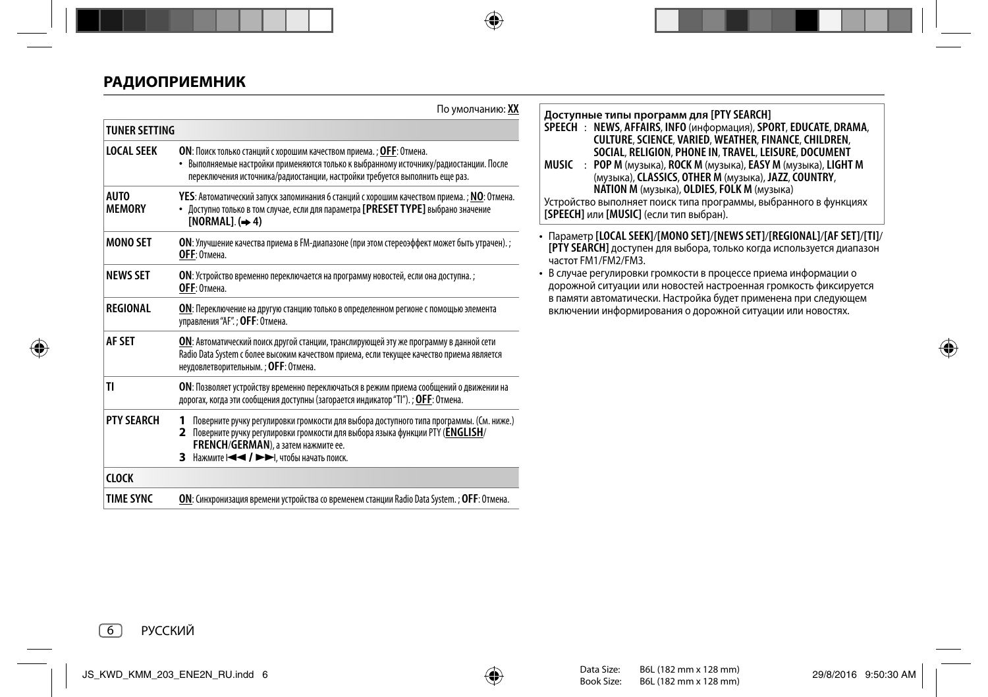# **РАДИОПРИЕМНИК**

|                              | По умолчанию: XX                                                                                                                                                                                                                                                                  |
|------------------------------|-----------------------------------------------------------------------------------------------------------------------------------------------------------------------------------------------------------------------------------------------------------------------------------|
| <b>TUNER SETTING</b>         |                                                                                                                                                                                                                                                                                   |
| <b>LOCAL SEEK</b>            | ОН: Поиск только станций с хорошим качеством приема. ; ОЕЕ: Отмена.<br>• Выполняемые настройки применяются только к выбранному источнику/радиостанции. После<br>переключения источника/радиостанции, настройки требуется выполнить еще раз.                                       |
| <b>AUTO</b><br><b>MEMORY</b> | YES: Автоматический запуск запоминания 6 станций с хорошим качеством приема. ; NO: Отмена.<br>• Доступно только в том случае, если для параметра [PRESET TYPE] выбрано значение<br>$INORMALI. (\rightarrow 4)$                                                                    |
| <b>MONO SET</b>              | ОН: Улучшение качества приема в FM-диапазоне (при этом стереоэффект может быть утрачен).;<br>ОЕЕ: Отмена.                                                                                                                                                                         |
| <b>NEWS SET</b>              | ОН: Устройство временно переключается на программу новостей, если она доступна. ;<br>ОҒЕ: Отмена.                                                                                                                                                                                 |
| REGIONAL                     | ОН: Переключение на другую станцию только в определенном регионе с помощью элемента<br>управления "АҒ".: ОҒҒ: Отмена.                                                                                                                                                             |
| <b>AF SFT</b>                | ОН: Автоматический поиск другой станции, транслирующей эту же программу в данной сети<br>Radio Data System с более высоким качеством приема, если текущее качество приема является<br>неудовлетворительным.; ОГГ: Отмена.                                                         |
| TI                           | ОН: Позволяет устройству временно переключаться в режим приема сообщений о движении на<br>дорогах, когда эти сообщения доступны (загорается индикатор "TI"). ; ОГГ: Отмена.                                                                                                       |
| <b>PTY SFARCH</b>            | Поверните ручку регулировки громкости для выбора доступного типа программы. (См. ниже.)<br>1<br>Поверните ручку регулировки громкости для выбора языка функции РТҮ (ENGLISH/<br>2<br><b>FRENCH/GERMAN</b> ), а затем нажмите ее.<br>З Нажмите I < < /> / ▶▶ - Чтобы начать поиск. |
| <b>CLOCK</b>                 |                                                                                                                                                                                                                                                                                   |
| <b>TIME SYNC</b>             | <b>ON</b> : Синхронизация времени устройства со временем станции Radio Data System. ; <b>OFF</b> : Отмена.                                                                                                                                                                        |

**Доступные типы программ для [PTY SEARCH]**

- **SPEECH** : **NEWS**, **AFFAIRS**, **INFO** (информация), **SPORT**, **EDUCATE**, **DRAMA**, **CULTURE**, **SCIENCE**, **VARIED**, **WEATHER**, **FINANCE**, **CHILDREN**, **SOCIAL**, **RELIGION**, **PHONE IN**, **TRAVEL**, **LEISURE**, **DOCUMENT**
- **MUSIC** : **POP M** (музыка), **ROCK M** (музыка), **EASY M** (музыка), **LIGHT M** (музыка), **CLASSICS**, **OTHER M** (музыка), **JAZZ**, **COUNTRY**, **NATION M** (музыка), **OLDIES**, **FOLK M** (музыка)

Устройство выполняет поиск типа программы, выбранного в функциях **[SPEECH]** или **[MUSIC]** (если тип выбран).

- Параметр **[LOCAL SEEK]**/**[MONO SET]**/**[NEWS SET]**/**[REGIONAL]**/**[AF SET]**/**[TI]**/ **[PTY SEARCH]** доступен для выбора, только когда используется диапазон частот FM1/FM2/FM3.
- В случае регулировки громкости в процессе приема информации о дорожной ситуации или новостей настроенная громкость фиксируется в памяти автоматически. Настройка будет применена при следующем включении информирования о дорожной ситуации или новостях.

6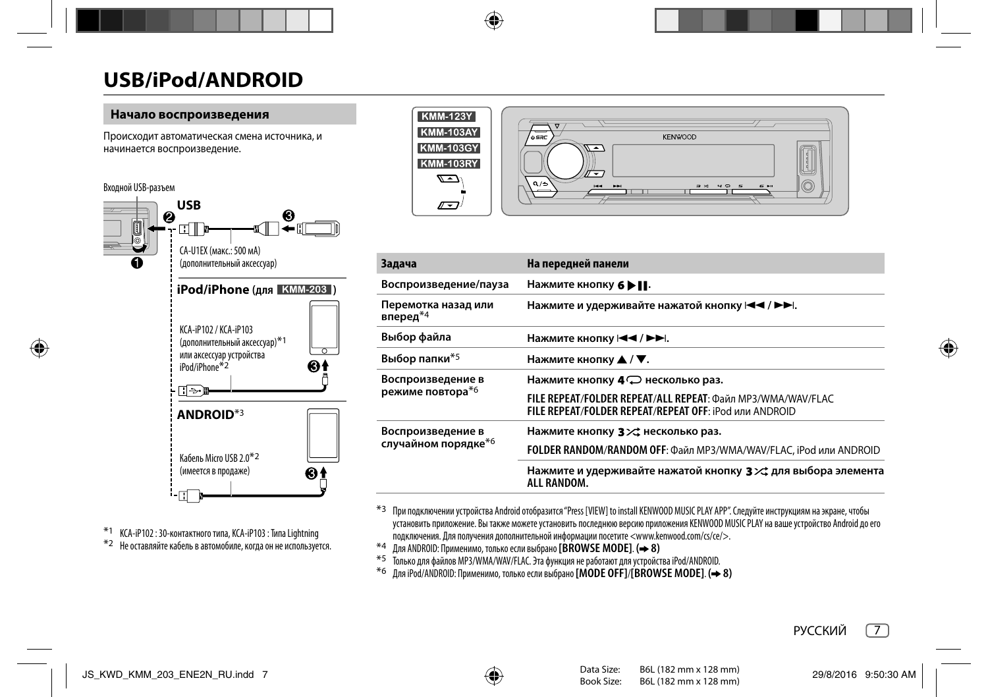## **Начало воспроизведения**

Происходит автоматическая смена источника, и начинается воспроизведение.

## Входной USB-разъем



\*1 KCA-iP102 : 30-контактного типа, KCA-iP103 : Типа Lightning \*2 Не оставляйте кабель в автомобиле, когда он не используется.



| Задача                          | На передней панели                                                                                                    |
|---------------------------------|-----------------------------------------------------------------------------------------------------------------------|
| Воспроизведение/пауза           | Нажмите кнопку 6 ▶     .                                                                                              |
| Перемотка назад или<br>вперед*4 | Нажмите и удерживайте нажатой кнопку $\blacktriangleright\blacktriangleright\blacktriangleright\blacktriangleright$ . |
| Выбор файла                     | Нажмите кнопку $\blacktriangleleft$ / ►►.                                                                             |
| Выбор папки*5                   | Нажмите кнопку ▲ / ▼.                                                                                                 |
| Воспроизведение в               | Нажмите кнопку 4 $\mathbb{C}$ несколько раз.                                                                          |
| режиме повтора*6                | FILE REPEAT/FOLDER REPEAT/ALL REPEAT: Файл MP3/WMA/WAV/FLAC<br>FILE REPEAT/FOLDER REPEAT/REPEAT OFF: iPod или ANDROID |
| Воспроизведение в               | Нажмите кнопку 3 > с несколько раз.                                                                                   |
| случайном порядке <sup>*6</sup> | FOLDER RANDOM/RANDOM OFF: Файл MP3/WMA/WAV/FLAC, iPod или ANDROID                                                     |
|                                 | Нажмите и удерживайте нажатой кнопку 3 $\times$ для выбора элемента<br>ALL RANDOM.                                    |

\*3 При подключении устройства Android отобразится "Press [VIEW] to install KENWOOD MUSIC PLAY APP". Следуйте инструкциям на экране, чтобы установить приложение. Вы также можете установить последнюю версию приложения KENWOOD MUSIC PLAY на ваше устройство Android до его подключения. Для получения дополнительной информации посетите <www.kenwood.com/cs/ce/>.<br>\*4 Для ANDROID: Применимо, только если выбрано [BROWSE MODE]. (→ 8)

- 
- \*4 Для ANDROID: Применимо, только если выбрано **[BROWSE MODE]**. **( 8)** \*5 Только для файлов MP3/WMA/WAV/FLAC. Эта функция не работают для устройства iPod/ANDROID.
- \*6 Для iPod/ANDROID: Применимо, только если выбрано **[MODE OFF]**/**[BROWSE MODE]**. **( 8)**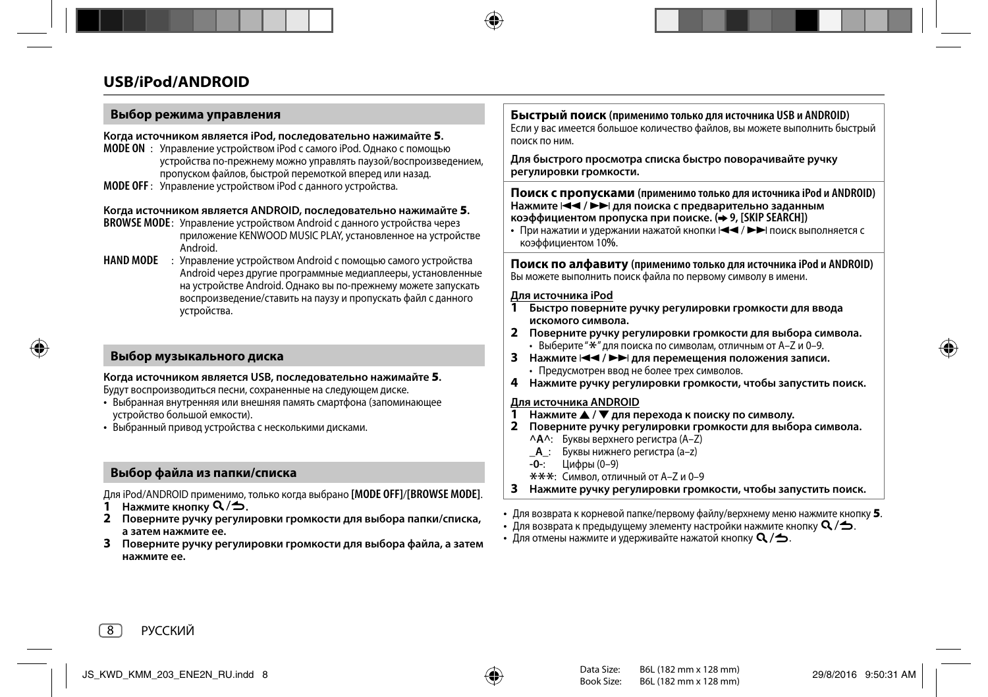## **Выбор режима управления**

#### **Когда источником является iPod, последовательно нажимайте 5.**

- **MODE ON** : Управление устройством iPod с самого iPod. Однако с помощью устройства по-прежнему можно управлять паузой/воспроизведением, пропуском файлов, быстрой перемоткой вперед или назад.
- **MODE OFF** : Управление устройством iPod с данного устройства.

### **Когда источником является ANDROID, последовательно нажимайте 5.**

- **BROWSE MODE**: Управление устройством Android с данного устройства через приложение KENWOOD MUSIC PLAY, установленное на устройстве Android.
- **HAND MODE** : Управление устройством Android с помощью самого устройства Android через другие программные медиаплееры, установленные на устройстве Android. Однако вы по-прежнему можете запускать воспроизведение/ставить на паузу и пропускать файл с данного устройства.

## **Выбор музыкального диска**

#### **Когда источником является USB, последовательно нажимайте 5.**

Будут воспроизводиться песни, сохраненные на следующем диске.

- Выбранная внутренняя или внешняя память смартфона (запоминающее устройство большой емкости).
- Выбранный привод устройства с несколькими дисками.

# **Выбор файла из папки/списка**

Для iPod/ANDROID применимо, только когда выбрано **[MODE OFF]**/**[BROWSE MODE]**.

- **Нажмите кнопку**  $Q/\Delta$ **.**
- **2 Поверните ручку регулировки громкости для выбора папки/списка, а затем нажмите ее.**
- **3 Поверните ручку регулировки громкости для выбора файла, а затем нажмите ее.**

**Быстрый поиск (применимо только для источника USB и ANDROID)** Если у вас имеется большое количество файлов, вы можете выполнить быстрый

**Для быстрого просмотра списка быстро поворачивайте ручку регулировки громкости.**

#### **Поиск с пропусками (применимо только для источника iPod и ANDROID)** Нажмите  $\left|\blacktriangleleft\blacktriangleleft\right/ \blacktriangleright\blacktriangleright\right|$  для поиска с предварительно заданным **коэффициентом пропуска при поиске. ( 9, [SKIP SEARCH])**

• При нажатии и удержании нажатой кнопки  $\blacktriangleleft \blacktriangleleft / \blacktriangleright \blacktriangleright$  поиск выполняется с коэффициентом 10**%**.

#### **Поиск по алфавиту (применимо только для источника iPod и ANDROID)** Вы можете выполнить поиск файла по первому символу в имени.

#### **Для источника iPod**

поиск по ним.

- **1 Быстро поверните ручку регулировки громкости для ввода искомого символа.**
- **2 Поверните ручку регулировки громкости для выбора символа.**
	- $\cdot$  Выберите " $\star$ " для поиска по символам, отличным от A–Z и 0–9.
- **3** Нажмите **E** / ► → Для перемещения положения записи. • Предусмотрен ввод не более трех символов.
- **4 Нажмите ручку регулировки громкости, чтобы запустить поиск.**

## **Для источника ANDROID**

- **1 Нажмите** J **/** K **для перехода к поиску по символу.**
- **2 Поверните ручку регулировки громкости для выбора символа.**
	- **^A^**: Буквы верхнего регистра (A–Z)
	- **\_A\_**: Буквы нижнего регистра (a–z)
	-
	- **-0-**: Цифры (0–9)<br><del>\*\*\*</del>: Символ, отличный от A–Z и 0–9
- \*\*\*: Символ, отличный от A–Z и 0–9 **3 Нажмите ручку регулировки громкости, чтобы запустить поиск.**
- Для возврата к корневой папке/первому файлу/верхнему меню нажмите кнопку **5**.
- Для возврата к предыдущему элементу настройки нажмите кнопку  $\mathsf{Q}/\mathbf{\triangle}$ .
- Для отмены нажмите и удерживайте нажатой кнопку  $\mathbf{Q}/\mathbf{\triangle}$ .

8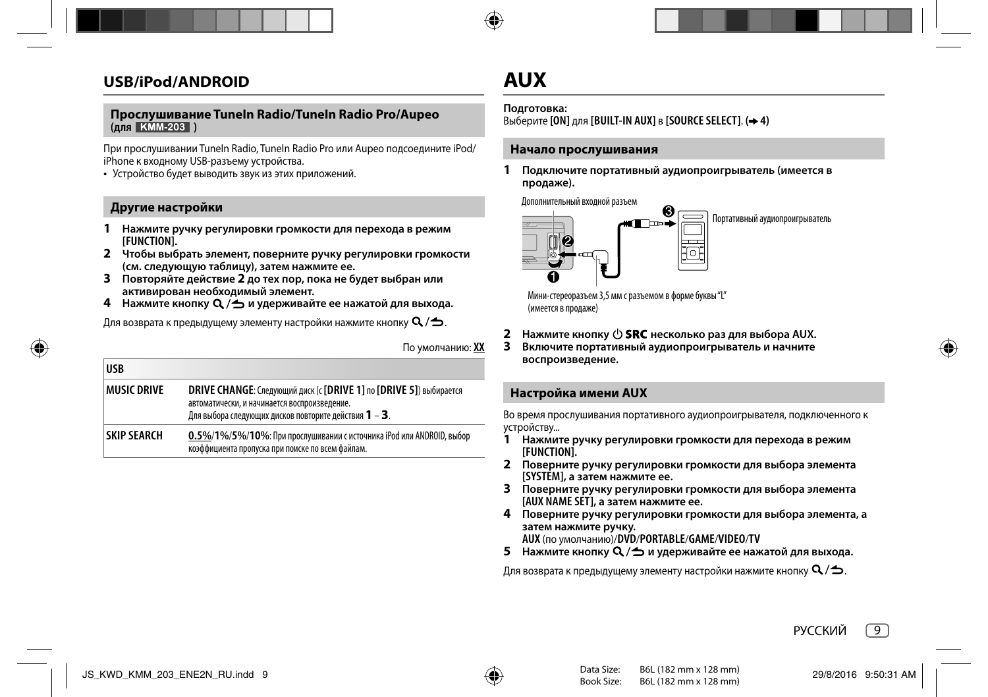#### **Прослушивание TuneIn Radio/TuneIn Radio Pro/Aupeo (для )**

При прослушивании TuneIn Radio, TuneIn Radio Pro или Aupeo подсоедините iPod/ iPhone к входному USB-разъему устройства.

• Устройство будет выводить звук из этих приложений.

### **Другие настройки**

**USB**

- **1 Нажмите ручку регулировки громкости для перехода в режим [FUNCTION].**
- **2 Чтобы выбрать элемент, поверните ручку регулировки громкости (см. следующую таблицу), затем нажмите ее.**
- **3 Повторяйте действие 2 до тех пор, пока не будет выбран или активирован необходимый элемент.**
- **4** Нажмите кнопку  $Q / \Delta$  и удерживайте ее нажатой для выхода.

Для возврата к предыдущему элементу настройки нажмите кнопку  $\mathsf{Q}/\mathsf{\Delta}$ .

По умолчанию: **XX**

| טכט⊦               |                                                                                                                                                                                            |
|--------------------|--------------------------------------------------------------------------------------------------------------------------------------------------------------------------------------------|
| <b>MUSIC DRIVE</b> | DRIVE CHANGE: Следующий диск (с [DRIVE 1] по [DRIVE 5]) выбирается<br>автоматически, и начинается воспроизведение.<br>Для выбора следующих дисков повторите действия $\bm{1}$ – $\bm{3}$ . |
| <b>SKIP SEARCH</b> | $0.5\%/1\%/5\%/10\%$ : При прослушивании с источника iPod или ANDROID, выбор<br>коэффициента пропуска при поиске по всем файлам.                                                           |

# **AUX**

#### **Подготовка:**

Выберите **[ON]** для **[BUILT-IN AUX]** в **[SOURCE SELECT]**. **( 4)**

### **Начало прослушивания**

**1 Подключите портативный аудиопроигрыватель (имеется в продаже).**

Дополнительный входной разъем



Мини-стереоразъем 3,5 мм с разъемом в форме буквы "L" (имеется в продаже)

- **2** Нажмите кнопку  $\bigcirc$  **SRC** несколько раз для выбора AUX.
- **3 Включите портативный аудиопроигрыватель и начните воспроизведение.**

## **Настройка имени AUX**

Во время прослушивания портативного аудиопроигрывателя, подключенного к устройству...

- **1 Нажмите ручку регулировки громкости для перехода в режим [FUNCTION].**
- **2 Поверните ручку регулировки громкости для выбора элемента [SYSTEM], а затем нажмите ее.**
- **3 Поверните ручку регулировки громкости для выбора элемента [AUX NAME SET], а затем нажмите ее.**
- **4 Поверните ручку регулировки громкости для выбора элемента, а затем нажмите ручку. AUX** (по умолчанию)/**DVD**/**PORTABLE**/**GAME**/**VIDEO**/**TV**

**5** Нажмите кнопку  $Q / \Delta$  и удерживайте ее нажатой для выхода.

Для возврата к предыдущему элементу настройки нажмите кнопку  $\mathsf{Q}/\mathsf{\Delta}$ .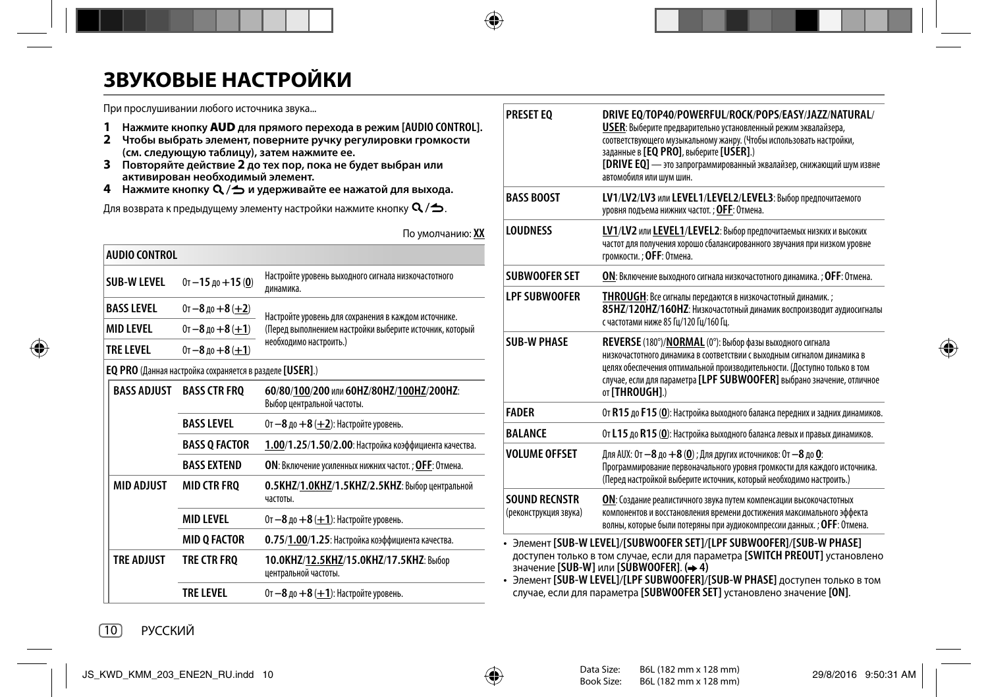# **ЗВУКОВЫЕ НАСТРОЙКИ**

При прослушивании любого источника звука...

- **1 Нажмите кнопку AUD для прямого перехода в режим [AUDIO CONTROL].**
- **2 Чтобы выбрать элемент, поверните ручку регулировки громкости (см. следующую таблицу), затем нажмите ее.**
- **3 Повторяйте действие 2 до тех пор, пока не будет выбран или активирован необходимый элемент.**
- **4 Нажмите кнопку и удерживайте ее нажатой для выхода.**

Для возврата к предыдущему элементу настройки нажмите кнопку  $\mathsf{Q}/\mathsf{\Delta}$ .

По умолчанию: **XX**

| <b>AUDIO CONTROL</b>                        |                                                                |                                                                        |  |
|---------------------------------------------|----------------------------------------------------------------|------------------------------------------------------------------------|--|
| SUB-WIFVFI                                  | $0$ т - 15 до + 15 (0)                                         | Настройте уровень выходного сигнала низкочастотного<br>динамика.       |  |
| <b>BASS LEVEL</b><br>0т - 8 до + 8 ( $+2$ ) |                                                                | Настройте уровень для сохранения в каждом источнике.                   |  |
| <b>MID LEVEL</b>                            | $0t - 8$ ao $+8$ (+1)                                          | (Перед выполнением настройки выберите источник, который                |  |
| <b>TRE LEVEL</b>                            | $0$ т -8 до +8 (+1)                                            | необходимо настроить.)                                                 |  |
|                                             | <b>EQ PRO</b> (Данная настройка сохраняется в разделе [USER].) |                                                                        |  |
| <b>BASS ADJUST</b>                          | <b>BASS CTR FRO</b>                                            | 60/80/100/200 или 60HZ/80HZ/100HZ/200HZ:<br>Выбор центральной частоты. |  |
|                                             | <b>BASS LEVEL</b>                                              | $0$ т $-8$ до $+8$ ( $+2$ ): Настройте уровень.                        |  |
|                                             | <b>BASS Q FACTOR</b>                                           | 1.00/1.25/1.50/2.00: Настройка коэффициента качества.                  |  |
|                                             | <b>BASS EXTEND</b>                                             | ОН: Включение усиленных нижних частот. ; ОГГ: Отмена.                  |  |
| <b>MID ADJUST</b>                           | <b>MID CTR FRO</b>                                             | 0.5KHZ/1.0KHZ/1.5KHZ/2.5KHZ: Выбор центральной<br>частоты.             |  |
|                                             | <b>MID I FVFI</b>                                              | $0$ т - 8 до + 8 (+1): Настройте уровень.                              |  |
|                                             | <b>MID O FACTOR</b>                                            | 0.75/1.00/1.25: Настройка коэффициента качества.                       |  |
| <b>TRE ADJUST</b>                           | TRE CTR FRQ                                                    | 10.0КHZ/12.5КHZ/15.0КHZ/17.5КHZ: Выбор<br>центральной частоты.         |  |
|                                             | TRE LEVEL                                                      | 0т – 8 до + 8 ( $+1$ ): Настройте уровень.                             |  |

| LV1/LV2/LV3 или LEVEL1/LEVEL2/LEVEL3: Выбор предпочитаемого                                                                                                                                                                                                                                                      |
|------------------------------------------------------------------------------------------------------------------------------------------------------------------------------------------------------------------------------------------------------------------------------------------------------------------|
| уровня подъема нижних частот. ; ОГГ: Отмена.                                                                                                                                                                                                                                                                     |
| LV1/LV2 или LEVEL1/LEVEL2: Выбор предпочитаемых низких и высоких<br>частот для получения хорошо сбалансированного звучания при низком уровне<br>громкости.; ОҒЕ: Отмена.                                                                                                                                         |
| ОN: Включение выходного сигнала низкочастотного динамика. ; OFF: Отмена.                                                                                                                                                                                                                                         |
| <b>THROUGH</b> : Все сигналы передаются в низкочастотный динамик. ;<br>85HZ/120HZ/160HZ: Низкочастотный динамик воспроизводит аудиосигналы<br>с частотами ниже 85 Гц/120 Гц/160 Гц.                                                                                                                              |
| REVERSE (180°)/NORMAL (0°): Выбор фазы выходного сигнала<br>низкочастотного динамика в соответствии с выходным сигналом динамика в<br>целях обеспечения оптимальной производительности. (Доступно только в том<br>случае, если для параметра [LPF SUBWOOFER] выбрано значение, отличное<br><b>oτ [THROUGH].)</b> |
| От R15 до F15 (0): Настройка выходного баланса передних и задних динамиков.                                                                                                                                                                                                                                      |
| От L15 до R15 (0): Настройка выходного баланса левых и правых динамиков.                                                                                                                                                                                                                                         |
| Для AUX: От -8 до +8 (0) ; Для других источников: От -8 до 0:<br>Программирование первоначального уровня громкости для каждого источника.<br>(Перед настройкой выберите источник, который необходимо настроить.)                                                                                                 |
| ОН: Создание реалистичного звука путем компенсации высокочастотных<br>компонентов и восстановления времени достижения максимального эффекта<br>волны, которые были потеряны при аудиокомпрессии данных. ; ОГГ: Отмена.                                                                                           |
|                                                                                                                                                                                                                                                                                                                  |

значение **[SUB-W]** или **[SUBWOOFER]**. **( 4)** • Элемент **[SUB-W LEVEL]**/**[LPF SUBWOOFER]**/**[SUB-W PHASE]** доступен только в том случае, если для параметра **[SUBWOOFER SET]** установлено значение **[ON]**.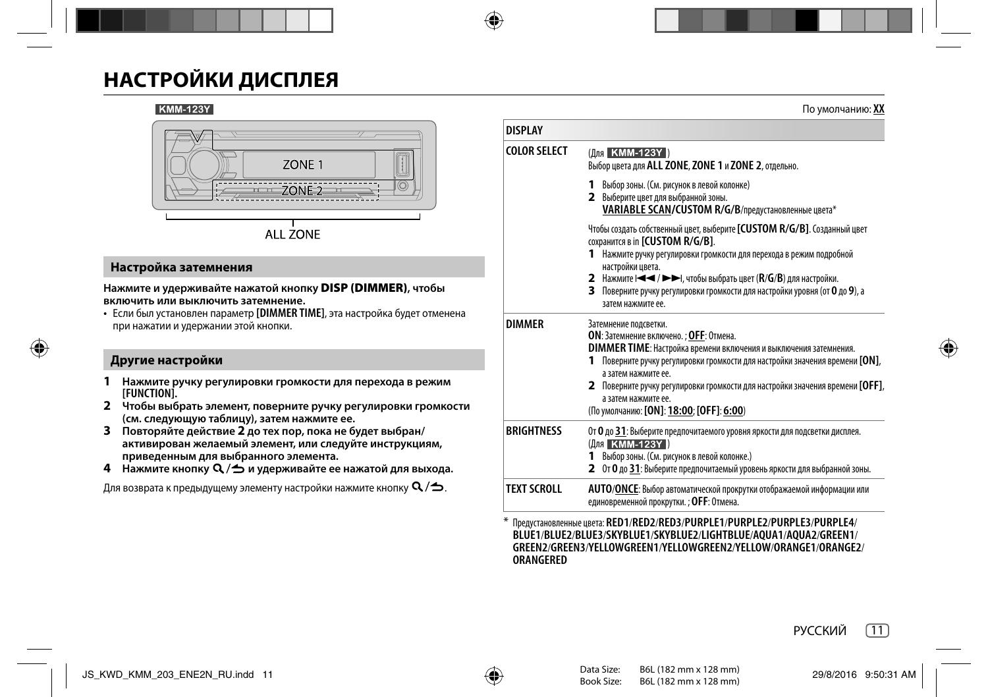# **НАСТРОЙКИ ДИСПЛЕЯ**

### **KMM-123Y**



## **Настройка затемнения**

#### **Нажмите и удерживайте нажатой кнопку DISP (DIMMER), чтобы включить или выключить затемнение.**

• Если был установлен параметр **[DIMMER TIME]**, эта настройка будет отменена при нажатии и удержании этой кнопки.

# **Другие настройки**

- **1 Нажмите ручку регулировки громкости для перехода в режим [FUNCTION].**
- **2 Чтобы выбрать элемент, поверните ручку регулировки громкости (см. следующую таблицу), затем нажмите ее.**
- **3 Повторяйте действие 2 до тех пор, пока не будет выбран/ активирован желаемый элемент, или следуйте инструкциям, приведенным для выбранного элемента.**
- **4** Нажмите кнопку Q / → и удерживайте ее нажатой для выхода.

Для возврата к предыдущему элементу настройки нажмите кнопку  $\mathsf{Q}/\spadesuit$ .

| <b>DISPI AY</b>   |                                                                                                                                                                                                                                                                                                                                                                                                      |  |  |
|-------------------|------------------------------------------------------------------------------------------------------------------------------------------------------------------------------------------------------------------------------------------------------------------------------------------------------------------------------------------------------------------------------------------------------|--|--|
| COLOR SELECT      | (Для КММ-123Ү)<br>Выбор цвета для ALL ZONE, ZONE 1 и ZONE 2, отдельно.                                                                                                                                                                                                                                                                                                                               |  |  |
|                   | 1 Выбор зоны. (См. рисунок в левой колонке)<br>2 Выберите цвет для выбранной зоны.<br>VARIABLE SCAN/CUSTOM R/G/B/предустановленные цвета*                                                                                                                                                                                                                                                            |  |  |
|                   | Чтобы создать собственный цвет, выберите [CUSTOM R/G/B]. Созданный цвет<br>сохранится в in [CUSTOM R/G/B].<br>1 Нажмите ручку регулировки громкости для перехода в режим подробной                                                                                                                                                                                                                   |  |  |
|                   | настройки цвета.<br>2 Нажмите I < < /> /> D + I, чтобы выбрать цвет (R/G/B) для настройки.<br>З Поверните ручку регулировки громкости для настройки уровня (от 0 до 9), а<br>затем нажмите ее.                                                                                                                                                                                                       |  |  |
| <b>DIMMFR</b>     | Затемнение подсветки.<br>ОН: Затемнение включено.: ОГГ: Отмена.<br><b>DIMMER TIME: Настройка времени включения и выключения затемнения.</b><br>Поверните ручку регулировки громкости для настройки значения времени [ON],<br>а затем нажмите ее.<br>2 Поверните ручку регулировки громкости для настройки значения времени [OFF],<br>а затем нажмите ее.<br>(По умолчанию: [ON]: 18:00; [OFF]: 6:00) |  |  |
| <b>BRIGHTNESS</b> | От О до 31: Выберите предпочитаемого уровня яркости для подсветки дисплея.<br>(Для КММ-123Y)<br>1 Выбор зоны. (См. рисунок в левой колонке.)<br>2 От 0 до 31: Выберите предпочитаемый уровень яркости для выбранной зоны.                                                                                                                                                                            |  |  |
| TFXT SCROLL       | AUTO/ONCE: Выбор автоматической прокрутки отображаемой информации или<br>единовременной прокрутки. ; OFF: Отмена.                                                                                                                                                                                                                                                                                    |  |  |

\* Предустановленные цвета: **RED1**/**RED2**/**RED3**/**PURPLE1**/**PURPLE2**/**PURPLE3**/**PURPLE4**/ **BLUE1**/**BLUE2**/**BLUE3**/**SKYBLUE1**/**SKYBLUE2**/**LIGHTBLUE**/**AQUA1**/**AQUA2**/**GREEN1**/ **GREEN2**/**GREEN3**/**YELLOWGREEN1**/**YELLOWGREEN2**/**YELLOW**/**ORANGE1**/**ORANGE2**/ **ORANGERED**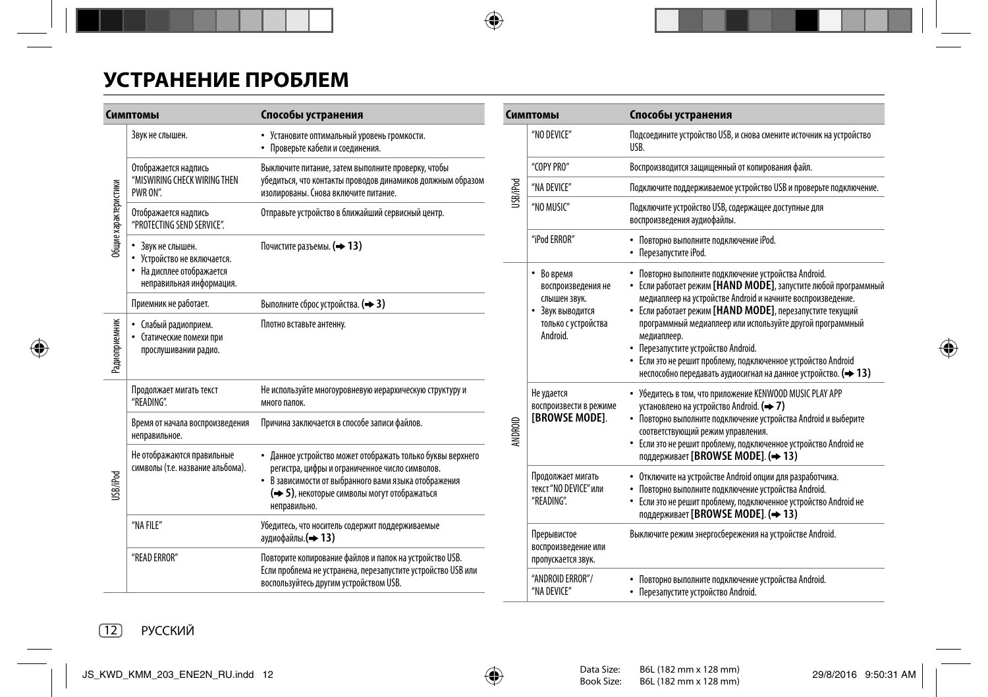# **УСТРАНЕНИЕ ПРОБЛЕМ**

| Симптомы             |                                                                                                           | Способы устранения                                                                                                                                                                                                                  |  |  |
|----------------------|-----------------------------------------------------------------------------------------------------------|-------------------------------------------------------------------------------------------------------------------------------------------------------------------------------------------------------------------------------------|--|--|
| Общие характеристики | Звук не слышен.                                                                                           | • Установите оптимальный уровень громкости.<br>• Проверьте кабели и соединения.                                                                                                                                                     |  |  |
|                      | Отображается надпись<br>"MISWIRING CHECK WIRING THEN<br>PWR ON".                                          | Выключите питание, затем выполните проверку, чтобы<br>убедиться, что контакты проводов динамиков должным образом<br>изолированы. Снова включите питание.                                                                            |  |  |
|                      | Отображается надпись<br>"PROTECTING SEND SERVICE".                                                        | Отправьте устройство в ближайший сервисный центр.                                                                                                                                                                                   |  |  |
|                      | • Звук не слышен.<br>• Устройство не включается.<br>• На дисплее отображается<br>неправильная информация. | Почистите разъемы. (→ 13)                                                                                                                                                                                                           |  |  |
|                      | Приемник не работает.                                                                                     | Выполните сброс устройства. (+3)                                                                                                                                                                                                    |  |  |
| Радиоприемник        | Слабый радиоприем.<br>Статические помехи при<br>٠<br>прослушивании радио.                                 | Плотно вставьте антенну.                                                                                                                                                                                                            |  |  |
| USB/iPod             | Продолжает мигать текст<br>"READING".                                                                     | Не используйте многоуровневую иерархическую структуру и<br>много папок.                                                                                                                                                             |  |  |
|                      | Время от начала воспроизведения<br>неправильное.                                                          | Причина заключается в способе записи файлов.                                                                                                                                                                                        |  |  |
|                      | Не отображаются правильные<br>символы (т.е. название альбома).                                            | • Данное устройство может отображать только буквы верхнего<br>регистра, цифры и ограниченное число символов.<br>• В зависимости от выбранного вами языка отображения<br>(→ 5), некоторые символы могут отображаться<br>неправильно. |  |  |
|                      | "NA FILE"                                                                                                 | Убедитесь, что носитель содержит поддерживаемые<br>аудиофайлы. (→ 13)                                                                                                                                                               |  |  |
|                      | "READ ERROR"                                                                                              | Повторите копирование файлов и папок на устройство USB.<br>Если проблема не устранена, перезапустите устройство USB или<br>воспользуйтесь другим устройством USB.                                                                   |  |  |

| Симптомы |                                                                                                         | Способы устранения                                                                                                                                                                                                                                                                                                                                                                                                                                                                                     |  |  |
|----------|---------------------------------------------------------------------------------------------------------|--------------------------------------------------------------------------------------------------------------------------------------------------------------------------------------------------------------------------------------------------------------------------------------------------------------------------------------------------------------------------------------------------------------------------------------------------------------------------------------------------------|--|--|
|          | "NO DEVICE"                                                                                             | Подсоедините устройство USB, и снова смените источник на устройство<br>USB.                                                                                                                                                                                                                                                                                                                                                                                                                            |  |  |
| USB/IPod | "COPY PRO"                                                                                              | Воспроизводится защищенный от копирования файл.                                                                                                                                                                                                                                                                                                                                                                                                                                                        |  |  |
|          | "NA DEVICE"                                                                                             | Подключите поддерживаемое устройство USB и проверьте подключение.                                                                                                                                                                                                                                                                                                                                                                                                                                      |  |  |
|          | "NO MUSIC"                                                                                              | Подключите устройство USB, содержащее доступные для<br>воспроизведения аудиофайлы.                                                                                                                                                                                                                                                                                                                                                                                                                     |  |  |
|          | "iPod ERROR"                                                                                            | • Повторно выполните подключение iPod.<br>• Перезапустите iPod.                                                                                                                                                                                                                                                                                                                                                                                                                                        |  |  |
| NDROID   | • Во время<br>воспроизведения не<br>слышен звук.<br>• Звук выводится<br>только с устройства<br>Android. | • Повторно выполните подключение устройства Android.<br>• Если работает режим [HAND MODE], запустите любой программный<br>медиаплеер на устройстве Android и начните воспроизведение.<br>• Если работает режим [HAND MODE], перезапустите текущий<br>программный медиаплеер или используйте другой программный<br>медиаплеер.<br>• Перезапустите устройство Android.<br>• Если это не решит проблему, подключенное устройство Android<br>неспособно передавать аудиосигнал на данное устройство. (+13) |  |  |
|          | Не удается<br>воспроизвести в режиме<br>[BROWSE MODE].                                                  | • Убедитесь в том, что приложение KENWOOD MUSIC PLAY APP<br>установлено на устройство Android. (→ 7)<br>• Повторно выполните подключение устройства Android и выберите<br>соответствующий режим управления.<br>• Если это не решит проблему, подключенное устройство Android не<br>поддерживает [BROWSE MODE]. (+13)                                                                                                                                                                                   |  |  |
|          | Продолжает мигать<br>текст "NO DEVICE" или<br>"READING".                                                | • Отключите на устройстве Android опции для разработчика.<br>Повторно выполните подключение устройства Android.<br>• Если это не решит проблему, подключенное устройство Android не<br>поддерживает [BROWSE MODE]. (+13)                                                                                                                                                                                                                                                                               |  |  |
|          | Прерывистое<br>воспроизведение или<br>пропускается звук.                                                | Выключите режим энергосбережения на устройстве Android.                                                                                                                                                                                                                                                                                                                                                                                                                                                |  |  |
|          | "ANDROID ERROR"/<br>"NA DEVICE"                                                                         | • Повторно выполните подключение устройства Android.<br>• Перезапустите устройство Android.                                                                                                                                                                                                                                                                                                                                                                                                            |  |  |

 $\overline{\phantom{a}}$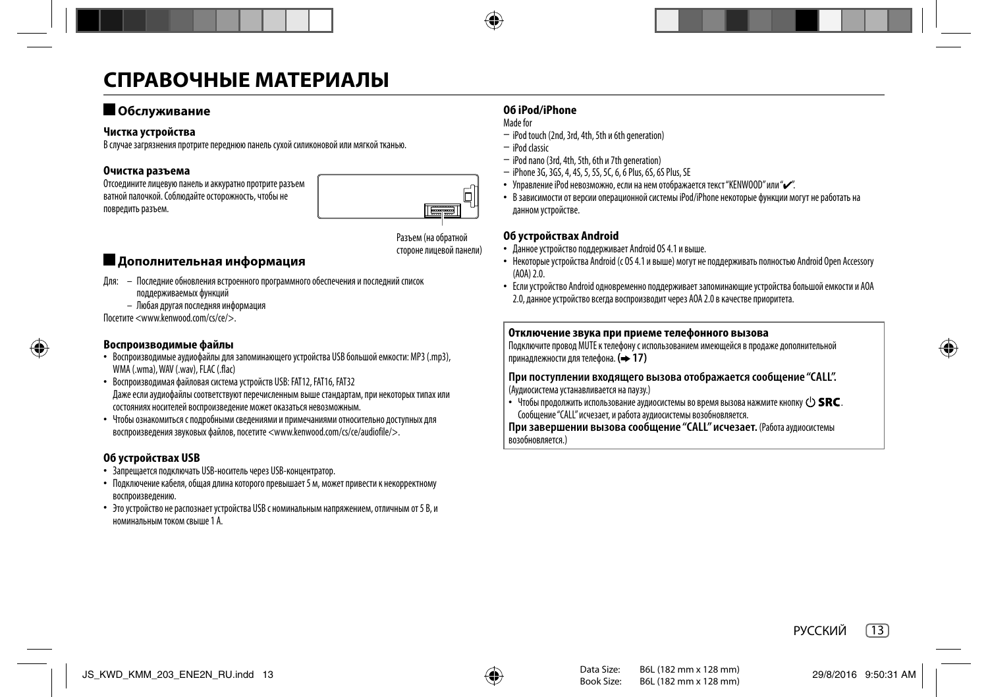# **СПРАВОЧНЫЕ МАТЕРИАЛЫ**

# **Обслуживание**

## **Чистка устройства**

В случае загрязнения протрите переднюю панель сухой силиконовой или мягкой тканью.

# **Очистка разъема**

Отсоедините лицевую панель и аккуратно протрите разъем ватной палочкой. Соблюдайте осторожность, чтобы не повредить разъем.



Разъем (на обратной стороне лицевой панели)

# **Дополнительная информация**

- Для: Последние обновления встроенного программного обеспечения и последний список поддерживаемых функций
	- Любая другая последняя информация

Посетите <www.kenwood.com/cs/ce/>.

# **Воспроизводимые файлы**

- Воспроизводимые аудиофайлы для запоминающего устройства USB большой емкости: MP3 (.mp3), WMA (.wma), WAV (.wav), FLAC (.flac)
- Воспроизводимая файловая система устройств USB: FAT12, FAT16, FAT32 Даже если аудиофайлы соответствуют перечисленным выше стандартам, при некоторых типах или состояниях носителей воспроизведение может оказаться невозможным.
- Чтобы ознакомиться с подробными сведениями и примечаниями относительно доступных для воспроизведения звуковых файлов, посетите <www.kenwood.com/cs/ce/audiofile/>.

# **Об устройствах USB**

- Запрещается подключать USB-носитель через USB-концентратор.
- Подключение кабеля, общая длина которого превышает 5 м, может привести к некорректному воспроизведению.
- Это устройство не распознает устройства USB с номинальным напряжением, отличным от 5 В, и номинальным током свыше 1 А.

# **Об iPod/iPhone**

Made for

- iPod touch (2nd, 3rd, 4th, 5th и 6th generation)
- iPod classic
- iPod nano (3rd, 4th, 5th, 6th и 7th generation)
- iPhone 3G, 3GS, 4, 4S, 5, 5S, 5C, 6, 6 Plus, 6S, 6S Plus, SE
- Управление iPod невозможно, если на нем отображается текст "KENWOOD" или " $\mathcal{L}$ ".
- В зависимости от версии операционной системы iPod/iPhone некоторые функции могут не работать на данном устройстве.

## **Об устройствах Android**

- Данное устройство поддерживает Android OS 4.1 и выше.
- Некоторые устройства Android (с OS 4.1 и выше) могут не поддерживать полностью Android Open Accessory  $(A \cap A)$  2 $\cap$ .
- Если устройство Android одновременно поддерживает запоминающие устройства большой емкости и AOA 2.0, данное устройство всегда воспроизводит через AOA 2.0 в качестве приоритета.

## **Отключение звука при приеме телефонного вызова**

Подключите провод MUTE к телефону с использованием имеющейся в продаже дополнительной принадлежности для телефона. **( 17)**

**При поступлении входящего вызова отображается сообщение "CALL".** (Аудиосистема устанавливается на паузу.)

 $\cdot$  Чтобы продолжить использование аудиосистемы во время вызова нажмите кнопку (1) SRC. Сообщение "CALL" исчезает, и работа аудиосистемы возобновляется.

**При завершении вызова сообщение "CALL" исчезает.** (Работа аудиосистемы возобновляется.)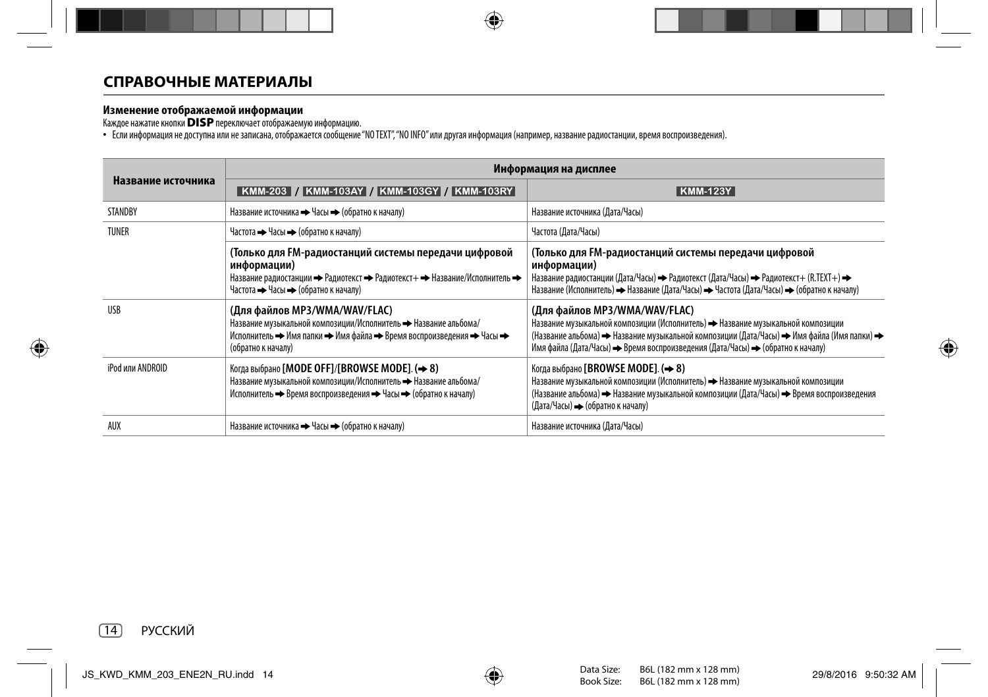**Изменение отображаемой информации**<br>Каждое нажатие кнопки **DISP** переключает отображаемую информацию.<br>• Если информация не доступна или не записана, отображается сообщение "NOTEXT","NO INFO" или другая информер, например,

|                    | Информация на дисплее                                                                                                                                                                            |                                                                                                                                                                                                                                                                                                  |  |  |
|--------------------|--------------------------------------------------------------------------------------------------------------------------------------------------------------------------------------------------|--------------------------------------------------------------------------------------------------------------------------------------------------------------------------------------------------------------------------------------------------------------------------------------------------|--|--|
| Название источника | KMM-203 / KMM-103AY / KMM-103GY / KMM-103RY                                                                                                                                                      | KMM-123Y                                                                                                                                                                                                                                                                                         |  |  |
| STANDBY            | Название источника • Часы • (обратно к началу)                                                                                                                                                   | Название источника (Дата/Часы)                                                                                                                                                                                                                                                                   |  |  |
| <b>TUNER</b>       | Частота - Часы - (обратно к началу)                                                                                                                                                              | Частота (Дата/Часы)                                                                                                                                                                                                                                                                              |  |  |
|                    | (Только для FM-радиостанций системы передачи цифровой<br>информации)<br>Название радиостанции → Радиотекст → Радиотекст+ → Название/Исполнитель →<br>Частота • Часы • (обратно к началу)         | (Только для FM-радиостанций системы передачи цифровой<br>информации)<br>Название радиостанции (Дата/Часы) → Радиотекст (Дата/Часы) → Радиотекст+ (R.TEXT+) →<br>Название (Исполнитель) → Название (Дата/Часы) → Частота (Дата/Часы) → (обратно к началу)                                         |  |  |
| <b>USB</b>         | (Для файлов MP3/WMA/WAV/FLAC)<br>Название музыкальной композиции/Исполнитель • Название альбома/<br>Исполнитель → Имя папки → Имя файла → Время воспроизведения → Часы →<br>(обратно к началу)   | (Для файлов MP3/WMA/WAV/FLAC)<br>Название музыкальной композиции (Исполнитель) + Название музыкальной композиции<br>(Название альбома) → Название музыкальной композиции (Дата/Часы) → Имя файла (Имя папки) →<br>Имя файла (Дата/Часы) → Время воспроизведения (Дата/Часы) → (обратно к началу) |  |  |
| iPod или ANDROID   | Когда выбрано [MODE OFF]/[BROWSE MODE]. ( $\rightarrow$ 8)<br>Название музыкальной композиции/Исполнитель • Название альбома/<br>Исполнитель • Время воспроизведения • Часы • (обратно к началу) | Когда выбрано [BROWSE MODE]. ( $\rightarrow$ 8)<br>Название музыкальной композиции (Исполнитель) + Название музыкальной композиции<br>(Название альбома) → Название музыкальной композиции (Дата/Часы) → Время воспроизведения<br>(Дата/Часы) $\rightarrow$ (обратно к началу)                   |  |  |
| AUX                | Название источника • Часы • (обратно к началу)                                                                                                                                                   | Название источника (Дата/Часы)                                                                                                                                                                                                                                                                   |  |  |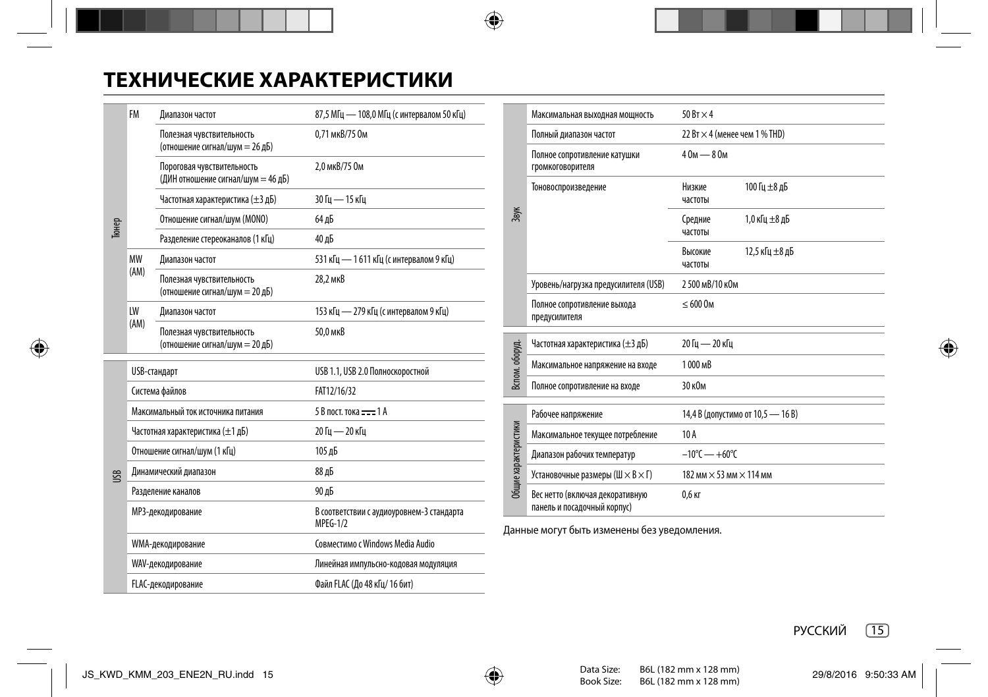# **ТЕХНИЧЕСКИЕ ХАРАКТЕРИСТИКИ**

| Тюнер     | FM                                 | Диапазон частот                                                  | 87,5 МГц - 108,0 МГц (с интервалом 50 кГц)            |  |
|-----------|------------------------------------|------------------------------------------------------------------|-------------------------------------------------------|--|
|           |                                    | Полезная чувствительность<br>(отношение сигнал/шум = 26 дБ)      | 0.71 мкВ/75 Ом                                        |  |
|           |                                    | Пороговая чувствительность<br>(ДИН отношение сигнал/шум = 46 дБ) | 2.0 мкВ/75 Ом                                         |  |
|           |                                    | Частотная характеристика (±3 дБ)                                 | 30 Гц — 15 кГц                                        |  |
|           |                                    | Отношение сигнал/шум (MONO)                                      | 64 дБ                                                 |  |
|           |                                    | Разделение стереоканалов (1 кГц)                                 | 40 дБ                                                 |  |
|           | MW                                 | Диапазон частот                                                  | 531 кГц - 1611 кГц (с интервалом 9 кГц)               |  |
|           | (AM)                               | Полезная чувствительность<br>(отношение сигнал/шум = 20 дБ)      | 28,2 мкВ                                              |  |
|           | LW                                 | Диапазон частот                                                  | 153 кГц - 279 кГц (с интервалом 9 кГц)                |  |
|           | (AM)                               | Полезная чувствительность<br>(отношение сигнал/шум = 20 дБ)      | 50.0 мкВ                                              |  |
|           | USB-стандарт                       |                                                                  | USB 1.1, USB 2.0 Полноскоростной                      |  |
|           | Система файлов                     |                                                                  | FAT12/16/32                                           |  |
| <b>SR</b> | Максимальный ток источника питания |                                                                  | 5 В пост. тока = = 1 А                                |  |
|           | Частотная характеристика (±1 дБ)   |                                                                  | 20 Гц — 20 кГц                                        |  |
|           | Отношение сигнал/шум (1 кГц)       |                                                                  | 105 дБ                                                |  |
|           | Динамический диапазон              |                                                                  | 88 дБ                                                 |  |
|           | Разделение каналов                 |                                                                  | 90 дБ                                                 |  |
|           | МРЗ-декодирование                  |                                                                  | В соответствии с аудиоуровнем-3 стандарта<br>MPEG-1/2 |  |
|           | WMA-декодирование                  |                                                                  | Совместимо с Windows Media Audio                      |  |
|           | WAV-декодирование                  |                                                                  | Линейная импульсно-кодовая модуляция                  |  |
|           | FLAC-декодирование                 |                                                                  | Файл FLAC (До 48 кГц/ 16 бит)                         |  |

|                      | Максимальная выходная мощность                                 | $50Bx \times 4$                       |                                   |  |
|----------------------|----------------------------------------------------------------|---------------------------------------|-----------------------------------|--|
| Звук                 | Полный диапазон частот                                         | 22 Вт $\times$ 4 (менее чем 1 % THD)  |                                   |  |
|                      | Полное сопротивление катушки<br>громкоговорителя               | $40M - 80M$                           |                                   |  |
|                      | Тоновоспроизведение                                            | Низкие<br>частоты                     | 100 Ги ±8 дБ                      |  |
|                      |                                                                | Средние<br>частоты                    | 1,0 кГц ±8 дБ                     |  |
|                      |                                                                | Высокие<br>частоты                    | 12,5 кГц ±8 дБ                    |  |
|                      | Уровень/нагрузка предусилителя (USB)                           | 2500 мВ/10 кОм                        |                                   |  |
|                      | Полное сопротивление выхода<br>предусилителя                   | $< 600$ O <sub>M</sub>                |                                   |  |
| Вспом. оборуд.       | Частотная характеристика (±3 дБ)                               | 20 Ги — 20 кГи                        |                                   |  |
|                      | Максимальное напряжение на входе                               | 1000 MB                               |                                   |  |
|                      | Полное сопротивление на входе                                  | 30 кОм                                |                                   |  |
|                      | Рабочее напряжение                                             |                                       | 14,4 В (допустимо от 10,5 - 16 В) |  |
|                      | Максимальное текущее потребление                               | 10 A                                  |                                   |  |
| Общие характеристики | Диапазон рабочих температур                                    | $-10^{\circ}$ C $- +60^{\circ}$ C     |                                   |  |
|                      | Установочные размеры (Ш × В × Г)                               | 182 мм $\times$ 53 мм $\times$ 114 мм |                                   |  |
|                      | Вес нетто (включая декоративную<br>панель и посадочный корпус) | 0,6 кг                                |                                   |  |

Данные могут быть изменены без уведомления.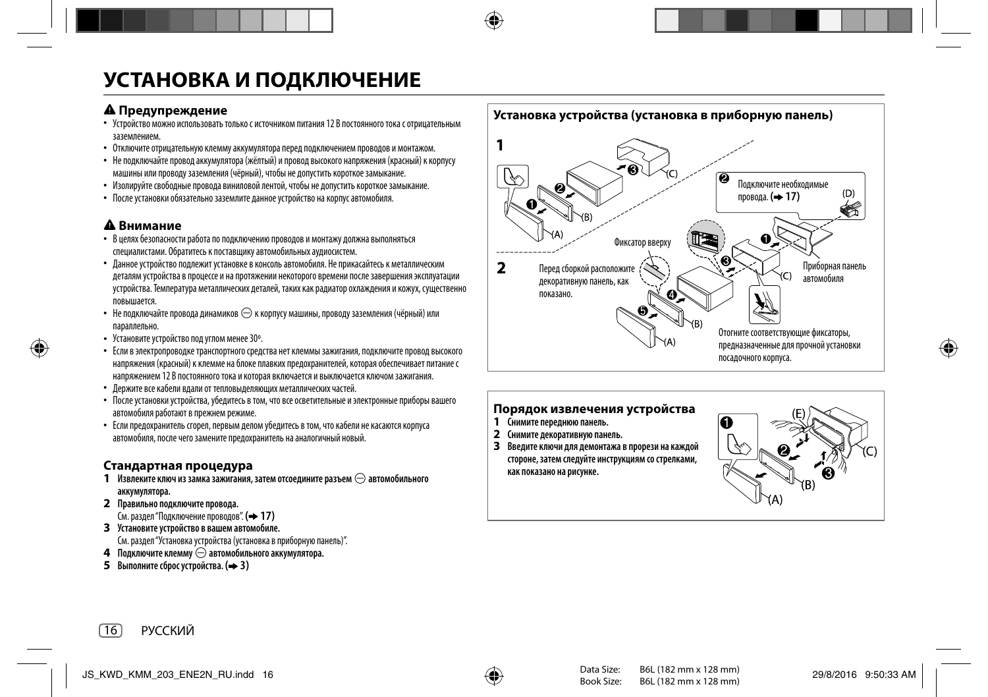# **УСТАНОВКА И ПОДКЛЮЧЕНИЕ**

- **А Предупреждение**<br>• Устройство можно использовать только с источником питания 12 В постоянного тока с отрицательным заземлением.
- Отключите отрицательную клемму аккумулятора перед подключением проводов и монтажом.
- Не подключайте провод аккумулятора (жёлтый) и провод высокого напряжения (красный) к корпусу машины или проводу заземления (чёрный), чтобы не допустить короткое замыкание.
- Изолируйте свободные провода виниловой лентой, чтобы не допустить короткое замыкание.
- После установки обязательно заземлите данное устройство на корпус автомобиля.

- **Внимание** В целях безопасности работа по подключению проводов и монтажу должна выполняться специалистами. Обратитесь к поставщику автомобильных аудиосистем.
- Данное устройство подлежит установке в консоль автомобиля. Не прикасайтесь к металлическим деталям устройства в процессе и на протяжении некоторого времени после завершения эксплуатации устройства. Температура металлических деталей, таких как радиатор охлаждения и кожух, существенно повышается.
- Не подключайте провода динамиков  $\ominus$  к корпусу машины, проводу заземления (чёрный) или параллельно.
- Установите устройство под углом менее 30º.
- Если в электропроводке транспортного средства нет клеммы зажигания, подключите провод высокого напряжения (красный) к клемме на блоке плавких предохранителей, которая обеспечивает питание с напряжением 12 В постоянного тока и которая включается и выключается ключом зажигания.
- Держите все кабели вдали от тепловыделяющих металлических частей.
- После установки устройства, убедитесь в том, что все осветительные и электронные приборы вашего автомобиля работают в прежнем режиме.
- Если предохранитель сгорел, первым делом убедитесь в том, что кабели не касаются корпуса автомобиля, после чего замените предохранитель на аналогичный новый.

# **Стандартная процедура**

- **1 Извлеките ключ из замка зажигания, затем отсоедините разъем** [ **автомобильного аккумулятора.**
- **2 Правильно подключите провода.**

См. раздел "Подключение проводов". **( 17)**

**3 Установите устройство в вашем автомобиле.**

См. раздел "Установка устройства (установка в приборную панель)".

- **4 Подключите клемму** [ **автомобильного аккумулятора.**
- **5 Выполните сброс устройства. ( 3)**



# **Порядок извлечения устройства**

- **1 Снимите переднюю панель.**
- **2 Снимите декоративную панель.**
- **3 Введите ключи для демонтажа в прорези на каждой стороне, затем следуйте инструкциям со стрелками, как показано на рисунке.**

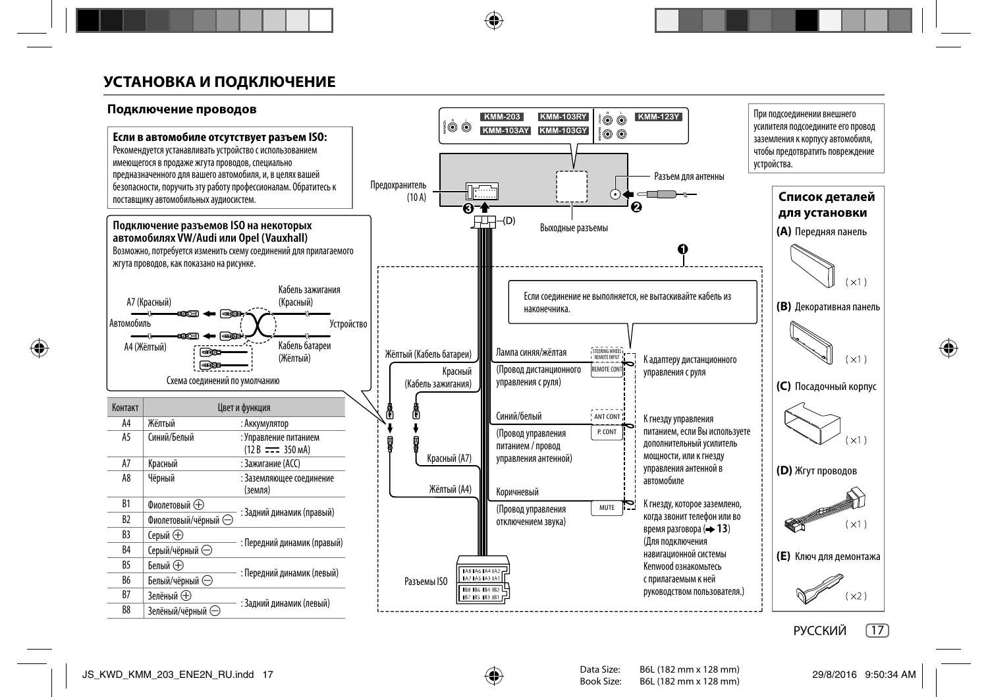# **УСТАНОВКА И ПОДКЛЮЧЕНИЕ**